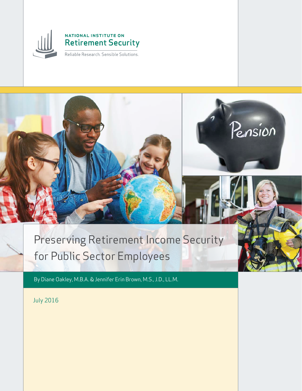

### **NATIONAL INSTITUTE ON Retirement Security**

Reliable Research. Sensible Solutions.



# Preserving Retirement Income Security for Public Sector Employees

By Diane Oakley, M.B.A. & Jennifer Erin Brown, M.S., J.D., LL.M.

July 2016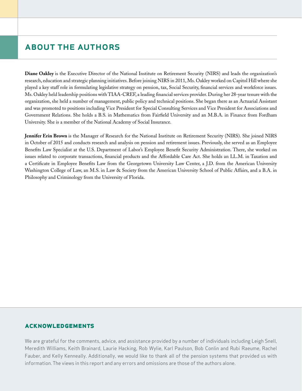### about the authors

**Diane Oakley** is the Executive Director of the National Institute on Retirement Security (NIRS) and leads the organization's research, education and strategic planning initiatives. Before joining NIRS in 2011, Ms. Oakley worked on Capitol Hill where she played a key staff role in formulating legislative strategy on pension, tax, Social Security, financial services and workforce issues. Ms. Oakley held leadership positions with TIAA-CREF, a leading financial services provider. During her 28-year tenure with the organization, she held a number of management, public policy and technical positions. She began there as an Actuarial Assistant and was promoted to positions including Vice President for Special Consulting Services and Vice President for Associations and Government Relations. She holds a B.S. in Mathematics from Fairfield University and an M.B.A. in Finance from Fordham University. She is a member of the National Academy of Social Insurance.

**Jennifer Erin Brown** is the Manager of Research for the National Institute on Retirement Security (NIRS). She joined NIRS in October of 2015 and conducts research and analysis on pension and retirement issues. Previously, she served as an Employee Benefits Law Specialist at the U.S. Department of Labor's Employee Benefit Security Administration. There, she worked on issues related to corporate transactions, financial products and the Affordable Care Act. She holds an LL.M. in Taxation and a Certificate in Employee Benefits Law from the Georgetown University Law Center, a J.D. from the American University Washington College of Law, an M.S. in Law & Society from the American University School of Public Affairs, and a B.A. in Philosophy and Criminology from the University of Florida.

#### **acknowledgements**

We are grateful for the comments, advice, and assistance provided by a number of individuals including Leigh Snell, Meredith Williams, Keith Brainard, Laurie Hacking, Rob Wylie, Karl Paulson, Bob Conlin and Rubi Raeume, Rachel Fauber, and Kelly Kenneally. Additionally, we would like to thank all of the pension systems that provided us with information. The views in this report and any errors and omissions are those of the authors alone.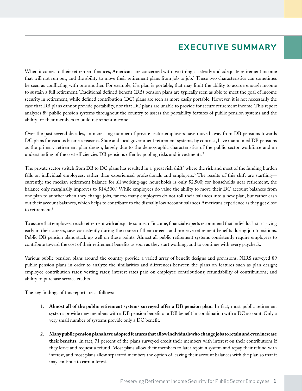# executive summary

When it comes to their retirement finances, Americans are concerned with two things: a steady and adequate retirement income that will not run out, and the ability to move their retirement plans from job to job.<sup>1</sup> These two characteristics can sometimes be seen as conflicting with one another. For example, if a plan is portable, that may limit the ability to accrue enough income to sustain a full retirement. Traditional defined benefit (DB) pension plans are typically seen as able to meet the goal of income security in retirement, while defined contribution (DC) plans are seen as more easily portable. However, it is not necessarily the case that DB plans cannot provide portability, nor that DC plans are unable to provide for secure retirement income. This report analyzes 89 public pension systems throughout the country to assess the portability features of public pension systems and the ability for their members to build retirement income.

Over the past several decades, an increasing number of private sector employers have moved away from DB pensions towards DC plans for various business reasons. State and local government retirement systems, by contrast, have maintained DB pensions as the primary retirement plan design, largely due to the demographic characteristics of the public sector workforce and an understanding of the cost efficiencies DB pensions offer by pooling risks and investments.<sup>2</sup>

The private sector switch from DB to DC plans has resulted in a "great risk shift" where the risk and most of the funding burden falls on individual employees, rather than experienced professionals and employers.<sup>3</sup> The results of this shift are startling currently, the median retirement balance for all working-age households is only \$2,500; for households near retirement, the balance only marginally improves to \$14,500.4 While employees do value the ability to move their DC account balances from one plan to another when they change jobs, far too many employees do not roll their balances into a new plan, but rather cash out their account balances, which helps to contribute to the dismally low account balances Americans experience as they get close to retirement.<sup>5</sup>

To assure that employees reach retirement with adequate sources of income, financial experts recommend that individuals start saving early in their careers, save consistently during the course of their careers, and preserve retirement benefits during job transitions. Public DB pension plans stack up well on these points. Almost all public retirement systems consistently require employees to contribute toward the cost of their retirement benefits as soon as they start working, and to continue with every paycheck.

Various public pension plans around the country provide a varied array of benefit designs and provisions. NIRS surveyed 89 public pension plans in order to analyze the similarities and differences between the plans on features such as plan design; employee contribution rates; vesting rates; interest rates paid on employee contributions; refundability of contributions; and ability to purchase service credits.

The key findings of this report are as follows:

- 1. **Almost all of the public retirement systems surveyed offer a DB pension plan.** In fact, most public retirement systems provide new members with a DB pension benefit or a DB benefit in combination with a DC account. Only a very small number of systems provide only a DC benefit.
- 2. **Many public pension plans have adopted features that allow individuals who change jobs to retain and even increase their benefits.** In fact, 71 percent of the plans surveyed credit their members with interest on their contributions if they leave and request a refund. Most plans allow their members to later rejoin a system and repay their refund with interest, and most plans allow separated members the option of leaving their account balances with the plan so that it may continue to earn interest.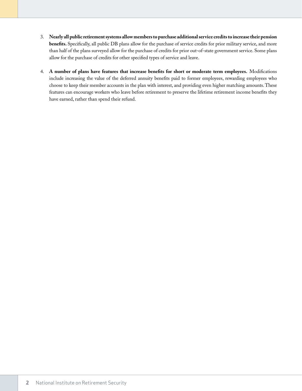- 3. **Nearly all public retirement systems allow members to purchase additional service credits to increase their pension benefits.** Specifically, all public DB plans allow for the purchase of service credits for prior military service, and more than half of the plans surveyed allow for the purchase of credits for prior out-of-state government service. Some plans allow for the purchase of credits for other specified types of service and leave.
- 4. **A number of plans have features that increase benefits for short or moderate term employees.** Modifications include increasing the value of the deferred annuity benefits paid to former employees, rewarding employees who choose to keep their member accounts in the plan with interest, and providing even higher matching amounts. These features can encourage workers who leave before retirement to preserve the lifetime retirement income benefits they have earned, rather than spend their refund.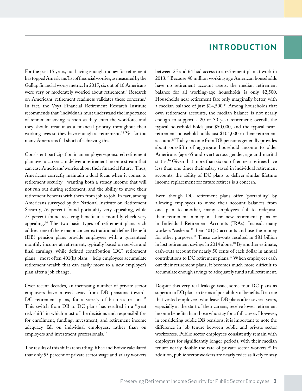### introduction

For the past 15 years, not having enough money for retirement has topped Americans' list of financial worries, as measured by the Gallup financial worry metric. In 2015, six out of 10 Americans were very or moderately worried about retirement.<sup>6</sup> Research on Americans' retirement readiness validates these concerns.7 In fact, the Voya Financial Retirement Research Institute recommends that "individuals must understand the importance of retirement saving as soon as they enter the workforce and they should treat it as a financial priority throughout their working lives so they have enough at retirement."8 Yet far too many Americans fall short of achieving this.

Consistent participation in an employer-sponsored retirement plan over a career can deliver a retirement income stream that can ease Americans' worries about their financial future.<sup>9</sup> Thus, Americans correctly maintain a dual focus when it comes to retirement security—wanting both a steady income that will not run out during retirement, and the ability to move their retirement benefits with them from job to job. In fact, among Americans surveyed by the National Institute on Retirement Security, 76 percent found portability very appealing, while 75 percent found receiving benefit in a monthly check very appealing.10 The two basic types of retirement plans each address one of these major concerns: traditional defined benefit (DB) pension plans provide employees with a guaranteed monthly income at retirement, typically based on service and final earnings, while defined contribution (DC) retirement plans—most often 401(k) plans—help employees accumulate retirement wealth that can easily move to a new employer's plan after a job change.

Over recent decades, an increasing number of private sector employers have moved away from DB pensions towards DC retirement plans, for a variety of business reasons.<sup>11</sup> This switch from DB to DC plans has resulted in a "great risk shift" in which most of the decisions and responsibilities for enrollment, funding, investment, and retirement income adequacy fall on individual employees, rather than on employers and investment professionals.12

The results of this shift are startling. Rhee and Boivie calculated that only 55 percent of private sector wage and salary workers between 25 and 64 had access to a retirement plan at work in 2013.13 Because 40 million working age American households have no retirement account assets, the median retirement balance for all working-age households is only \$2,500. Households near retirement fare only marginally better, with a median balance of just \$14,500.14 Among households that own retirement accounts, the median balance is not nearly enough to support a 20 or 30 year retirement; overall, the typical household holds just \$50,000, and the typical nearretirement household holds just \$104,000 in their retirement account.15 Today, income from DB pensions generally provides about one-fifth of aggregate household income to older Americans (age 65 and over) across gender, age and marital status.16 Given that more than six out of ten near retirees have less than one times their salary saved in individual retirement accounts, the ability of DC plans to deliver similar lifetime income replacement for future retirees is a concern.

Even though DC retirement plans offer "portability" by allowing employees to move their account balances from one plan to another, many employees fail to redeposit their retirement money in their new retirement plans or in Individual Retirement Accounts (IRAs). Instead, many workers "cash-out" their 401(k) accounts and use the money for other purposes.17 These cash-outs resulted in \$81 billion in lost retirement savings in 2014 alone.<sup>18</sup> By another estimate, cash-outs account for nearly 50 cents of each dollar in annual contributions to DC retirement plans.19 When employees cash out their retirement plans, it becomes much more difficult to accumulate enough savings to adequately fund a full retirement.

Despite this very real leakage issue, some tout DC plans as superior to DB plans in terms of portability of benefits. It is true that vested employees who leave DB plans after several years, especially at the start of their careers, receive lower retirement income benefits than those who stay for a full career. However, in considering public DB pensions, it is important to note the difference in job tenure between public and private sector workforces. Public sector employees consistently remain with employers for significantly longer periods, with their median tenure nearly double the rate of private sector workers.<sup>20</sup> In addition, public sector workers are nearly twice as likely to stay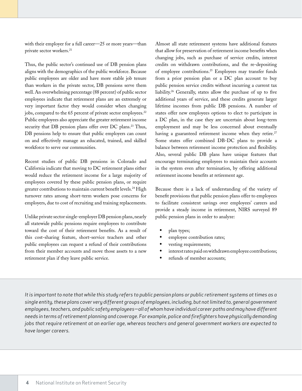with their employer for a full career—25 or more years—than private sector workers.<sup>21</sup>

Thus, the public sector's continued use of DB pension plans aligns with the demographics of the public workforce. Because public employees are older and have more stable job tenure than workers in the private sector, DB pensions serve them well. An overwhelming percentage (88 percent) of public sector employees indicate that retirement plans are an extremely or very important factor they would consider when changing jobs, compared to the 65 percent of private sector employees.<sup>22</sup> Public employees also appreciate the greater retirement income security that DB pension plans offer over DC plans.<sup>23</sup> Thus, DB pensions help to ensure that public employers can count on and effectively manage an educated, trained, and skilled workforce to serve our communities.

Recent studies of public DB pensions in Colorado and California indicate that moving to DC retirement plans either would reduce the retirement income for a large majority of employees covered by these public pension plans, or require greater contributions to maintain current benefit levels.<sup>24</sup> High turnover rates among short-term workers pose concerns for employers, due to cost of recruiting and training replacements.

Unlike private sector single-employer DB pension plans, nearly all statewide public pensions require employees to contribute toward the cost of their retirement benefits. As a result of this cost-sharing feature, short-service teachers and other public employees can request a refund of their contributions from their member accounts and move those assets to a new retirement plan if they leave public service.

Almost all state retirement systems have additional features that allow for preservation of retirement income benefits when changing jobs, such as purchase of service credits, interest credits on withdrawn contributions, and the re-depositing of employee contributions.25 Employees may transfer funds from a prior pension plan or a DC plan account to buy public pension service credits without incurring a current tax liability.26 Generally, states allow the purchase of up to five additional years of service, and these credits generate larger lifetime incomes from public DB pensions. A number of states offer new employees options to elect to participate in a DC plan, in the case they are uncertain about long-term employment and may be less concerned about eventually having a guaranteed retirement income when they retire.<sup>27</sup> Some states offer combined DB-DC plans to provide a balance between retirement income protection and flexibility. Also, several public DB plans have unique features that encourage terminating employees to maintain their accounts in the system even after termination, by offering additional retirement income benefits at retirement age.

Because there is a lack of understanding of the variety of benefit provisions that public pension plans offer to employees to facilitate consistent savings over employees' careers and provide a steady income in retirement, NIRS surveyed 89 public pension plans in order to analyze:

- plan types;
- employee contribution rates;
- vesting requirements;
- interest rates paid on withdrawn employee contributions;
- refunds of member accounts;

*It is important to note that while this study refers to public pension plans or public retirement systems at times as a single entity, these plans cover very different groups of employees, including, but not limited to, general government employees, teachers, and public safety employees—all of whom have individual career paths and may have different needs in terms of retirement planning and coverage. For example, police and firefighters have physically demanding jobs that require retirement at an earlier age, whereas teachers and general government workers are expected to have longer careers.*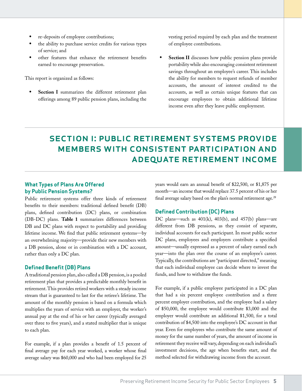- re-deposits of employee contributions;
- the ability to purchase service credits for various types of service; and
- other features that enhance the retirement benefits earned to encourage preservation.

This report is organized as follows:

**• Section I** summarizes the different retirement plan offerings among 89 public pension plans, including the vesting period required by each plan and the treatment of employee contributions.

**• Section II** discusses how public pension plans provide portability while also encouraging consistent retirement savings throughout an employee's career. This includes the ability for members to request refunds of member accounts, the amount of interest credited to the accounts, as well as certain unique features that can encourage employees to obtain additional lifetime income even after they leave public employment.

# section i: public retirement systems provide members with consistent participation and adequate retirement income

#### **What Types of Plans Are Offered by Public Pension Systems?**

Public retirement systems offer three kinds of retirement benefits to their members: traditional defined benefit (DB) plans, defined contribution (DC) plans, or combination (DB-DC) plans. **Table 1** summarizes differences between DB and DC plans with respect to portability and providing lifetime income. We find that public retirement systems—by an overwhelming majority—provide their new members with a DB pension, alone or in combination with a DC account, rather than only a DC plan.

#### **Defined Benefit (DB) Plans**

A traditional pension plan, also called a DB pension, is a pooled retirement plan that provides a predictable monthly benefit in retirement. This provides retired workers with a steady income stream that is guaranteed to last for the retiree's lifetime. The amount of the monthly pension is based on a formula which multiplies the years of service with an employer, the worker's annual pay at the end of his or her career (typically averaged over three to five years), and a stated multiplier that is unique to each plan.

For example, if a plan provides a benefit of 1.5 percent of final average pay for each year worked, a worker whose final average salary was \$60,000 and who had been employed for 25

years would earn an annual benefit of \$22,500, or \$1,875 per month—an income that would replace 37.5 percent of his or her final average salary based on the plan's normal retirement age.<sup>28</sup>

#### **Defined Contribution (DC) Plans**

DC plans—such as 401(k), 403(b), and 457(b) plans—are different from DB pensions, as they consist of separate, individual accounts for each participant. In most public sector DC plans, employees and employers contribute a specified amount—usually expressed as a percent of salary earned each year—into the plan over the course of an employee's career. Typically, the contributions are "participant directed," meaning that each individual employee can decide where to invest the funds, and how to withdraw the funds.

For example, if a public employee participated in a DC plan that had a six percent employee contribution and a three percent employer contribution, and the employee had a salary of \$50,000, the employee would contribute \$3,000 and the employer would contribute an additional \$1,500, for a total contribution of \$4,500 into the employee's DC account in that year. Even for employees who contribute the same amount of money for the same number of years, the amount of income in retirement they receive will vary, depending on each individual's investment decisions, the age when benefits start, and the method selected for withdrawing income from the account.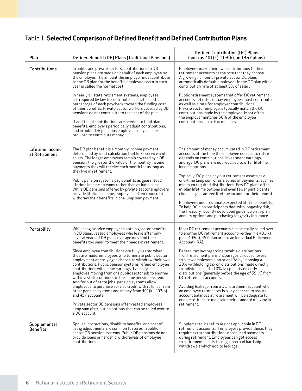# Table 1. **Selected Comparison of Defined Benefit and Defined Contribution Plans**

| Plan                             | Defined Benefit (DB) Plans (Traditional Pensions)                                                                                                                                                                                                                                                                                                                                                                                                                                                                                                                                                                                                                                                                                                                                                                                                                                                                                                            | <b>Defined Contribution (DC) Plans</b><br>(such as 401(k), 403(b), and 457 plans)                                                                                                                                                                                                                                                                                                                                                                                                                                                                                                                                                                                                                                                                                                                         |
|----------------------------------|--------------------------------------------------------------------------------------------------------------------------------------------------------------------------------------------------------------------------------------------------------------------------------------------------------------------------------------------------------------------------------------------------------------------------------------------------------------------------------------------------------------------------------------------------------------------------------------------------------------------------------------------------------------------------------------------------------------------------------------------------------------------------------------------------------------------------------------------------------------------------------------------------------------------------------------------------------------|-----------------------------------------------------------------------------------------------------------------------------------------------------------------------------------------------------------------------------------------------------------------------------------------------------------------------------------------------------------------------------------------------------------------------------------------------------------------------------------------------------------------------------------------------------------------------------------------------------------------------------------------------------------------------------------------------------------------------------------------------------------------------------------------------------------|
| Contributions                    | In public and private sectors, contributions to DB<br>pension plans are made on behalf of each employee by<br>the employer. The amount the employer must contribute<br>to the DB plan for the benefits employees earn in each<br>year is called the normal cost.                                                                                                                                                                                                                                                                                                                                                                                                                                                                                                                                                                                                                                                                                             | Employees make their own contributions to their<br>retirement accounts at the rate that they choose.<br>A growing number of private sector DC plans<br>automatically default employees in the DC plan with a<br>contribution rate of at least 3% of salary.                                                                                                                                                                                                                                                                                                                                                                                                                                                                                                                                               |
|                                  | In nearly all state retirement systems, employees<br>are required by law to contribute an established<br>percentage of each paycheck toward the funding cost<br>of their benefits. Private sector workers covered by DB<br>pensions do not contribute to the cost of the plan.<br>If additional contributions are needed to fund plan<br>benefits, employers periodically adjust contributions,<br>and in public DB pensions employees may also be<br>required to contribute money.                                                                                                                                                                                                                                                                                                                                                                                                                                                                          | Public retirement systems that offer DC retirement<br>accounts set rates of pay employees must contribute<br>as well as a rate for employer contributions.<br>Private sector employers typically match the DC<br>contributions made by the employee. Most often<br>the employer matches 50% of the employee<br>contributions, up to 6% of salary.                                                                                                                                                                                                                                                                                                                                                                                                                                                         |
| Lifetime Income<br>at Retirement | The DB plan benefit is a monthly income payment<br>determined by a set calculation that links service and<br>salary. The longer employees remain covered by a DB<br>pension; the greater the value of the monthly income<br>payments they will receive each month for as long as<br>they live in retirement.<br>Public pension systems pay benefits as guaranteed<br>lifetime income streams rather than as lump sums.<br>While DB pensions offered by private sector employers<br>provide lifetime income, employees often choose to<br>withdraw their benefits in one lump sum payment.                                                                                                                                                                                                                                                                                                                                                                    | The amount of money accumulated in DC retirement<br>accounts at the time the employee decides to retire<br>depends on contributions, investment earnings,<br>and age. DC plans are not required to offer lifetime<br>income options.<br>Typically, DC plans pay out retirement assets as a<br>one-time lump sum or as a series of payments, such as<br>minimum required distributions. Few DC plans offer<br>in-plan lifetime options and even fewer participants<br>choose a guaranteed lifetime income for their benefit.<br>Employees underestimate expected lifetime benefits.<br>To help DC plan participants deal with longevity risk,<br>the Treasury recently developed guidance on in-plan<br>annuity options and purchasing longevity insurance.                                                |
| Portability                      | While long-service employees obtain greater benefits<br>in DB plans, vested employees who leave after only<br>several years of DB plan coverage may find their<br>benefits too small to meet their needs in retirement.<br>Since employee contributions are fully vested when<br>they are made, employees who terminate public sector<br>employment at early ages choose to withdraw their own<br>contributions. Public pension systems refund employee<br>contributions with some earnings. Typically, an<br>employee moving from one public sector job to another<br>within a state continues in the same pension system.<br>And for out of state jobs, pension systems allow<br>employees to purchase service credit with refunds from<br>other pension systems and money from $401(k)$ , $403(b)$<br>and 457 accounts.<br>Private sector DB pensions offer vested employees<br>lump sum distribution options that can be rolled over to<br>a DC account. | Most DC retirement accounts can be easily rolled over<br>to another DC retirement account—either in a $401(k)$<br>plan, 403(b), 457 plan or into an Individual Retirement<br>Account (IRA).<br>Federal tax law regarding taxable distributions<br>from retirement plans encourages direct rollovers<br>to a new employers plan or an IRA by imposing a<br>20% withholding tax on distributions made directly<br>to individuals and a 10% tax penalty on early<br>distributions (generally before the age of 59 $\frac{1}{2}$ ) from<br>DC retirement accounts.<br>Avoiding leakage from a DC retirement account when<br>an employee terminates is a key concern to assure<br>account balances at retirement will be adequate to<br>enable retirees to maintain their standard of living in<br>retirement. |
| Supplemental<br><b>Benefits</b>  | Spousal protections, disability benefits, and cost of<br>living adjustments are common features in public<br>sector DB pension systems. Public DB pensions do not<br>provide loans or hardship withdrawals of employee<br>contributions.                                                                                                                                                                                                                                                                                                                                                                                                                                                                                                                                                                                                                                                                                                                     | Supplemental benefits are not applicable in DC<br>retirement accounts. If employers provide these, they<br>require extra contributions or reduced payments<br>during retirement. Employees can get access<br>to retirement assets through loan and hardship<br>withdrawals which add to leakage.                                                                                                                                                                                                                                                                                                                                                                                                                                                                                                          |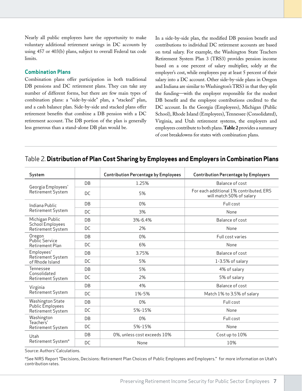Nearly all public employees have the opportunity to make voluntary additional retirement savings in DC accounts by using 457 or 403(b) plans, subject to overall Federal tax code limits.

#### **Combination Plans**

Combination plans offer participation in both traditional DB pensions and DC retirement plans. They can take any number of different forms, but there are few main types of combination plans: a "side-by-side" plan, a "stacked" plan, and a cash balance plan. Side-by-side and stacked plans offer retirement benefits that combine a DB pension with a DC retirement account. The DB portion of the plan is generally less generous than a stand-alone DB plan would be.

In a side-by-side plan, the modified DB pension benefit and contributions to individual DC retirement accounts are based on total salary. For example, the Washington State Teachers Retirement System Plan 3 (TRS3) provides pension income based on a one percent of salary multiplier, solely at the employer's cost, while employees pay at least 5 percent of their salary into a DC account. Other side-by-side plans in Oregon and Indiana are similar to Washington's TRS3 in that they split the funding—with the employer responsible for the modest DB benefit and the employee contributions credited to the DC account. In the Georgia (Employees), Michigan (Public School), Rhode Island (Employees), Tennessee (Consolidated), Virginia, and Utah retirement systems, the employers and employees contribute to both plans. **Table 2** provides a summary of cost breakdowns for states with combination plans.

#### Table 2. **Distribution of Plan Cost Sharing by Employees and Employers in Combination Plans**

| System                                  |    | <b>Contribution Percentage by Employees</b> | <b>Contribution Percentage by Employers</b>                         |  |  |
|-----------------------------------------|----|---------------------------------------------|---------------------------------------------------------------------|--|--|
|                                         | DB | 1.25%                                       | Balance of cost                                                     |  |  |
| Georgia Employees'<br>Retirement System | DC | 5%                                          | For each additional 1% contributed, ERS<br>will match 50% of salary |  |  |
| Indiana Public                          | DB | 0%                                          | Full cost                                                           |  |  |
| Retirement System                       | DC | 3%                                          | None                                                                |  |  |
| Michigan Public                         | DB | 3%-6.4%                                     | Balance of cost                                                     |  |  |
| School Employees<br>Retirement System   | DC | 2%                                          | None                                                                |  |  |
| Oregon<br>Public Service                | DB | 0%                                          | Full cost varies                                                    |  |  |
| <b>Retirement Plan</b>                  | DC | 6%                                          | None                                                                |  |  |
| Employees'                              | DB | 3.75%                                       | Balance of cost                                                     |  |  |
| Retirement System<br>of Rhode Island    | DC | 5%                                          | 1-3.5% of salary                                                    |  |  |
| Tennessee<br>Consolidated               | DB | 5%                                          | 4% of salary                                                        |  |  |
| Retirement System                       | DC | 2%                                          | 5% of salary                                                        |  |  |
| Virginia                                | DB | 4%                                          | Balance of cost                                                     |  |  |
| Retirement System                       | DC | 1%-5%                                       | Match 1% to 3.5% of salary                                          |  |  |
| Washington State                        | DB | 0%                                          | Full cost                                                           |  |  |
| Public Employees<br>Retirement System   | DC | 5%-15%                                      | None                                                                |  |  |
| Washington                              | DB | 0%                                          | Full cost                                                           |  |  |
| Teachers'<br>Retirement System          | DC | 5%-15%                                      | None                                                                |  |  |
| Utah                                    | DB | 0%, unless cost exceeds 10%                 | Cost up to 10%                                                      |  |  |
| Retirement System*                      | DC | None                                        | 10%                                                                 |  |  |

Source: Authors' Calculations.

\*See NIRS Report "Decisions, Decisions: Retirement Plan Choices of Public Employees and Employers." for more information on Utah's contribution rates.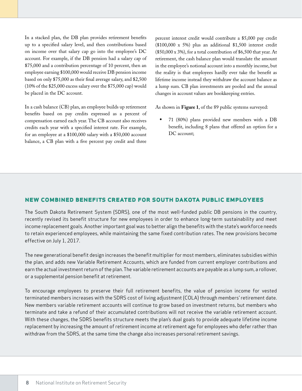In a stacked plan, the DB plan provides retirement benefits up to a specified salary level, and then contributions based on income over that salary cap go into the employee's DC account. For example, if the DB pension had a salary cap of \$75,000 and a contribution percentage of 10 percent, then an employee earning \$100,000 would receive DB pension income based on only \$75,000 as their final average salary, and \$2,500 (10% of the \$25,000 excess salary over the \$75,000 cap) would be placed in the DC account.

In a cash balance (CB) plan, an employee builds up retirement benefits based on pay credits expressed as a percent of compensation earned each year. The CB account also receives credits each year with a specified interest rate. For example, for an employee at a \$100,000 salary with a \$50,000 account balance, a CB plan with a five percent pay credit and three

percent interest credit would contribute a \$5,000 pay credit (\$100,000 x 5%) plus an additional \$1,500 interest credit (\$50,000 x 3%), for a total contribution of \$6,500 that year. At retirement, the cash balance plan would translate the amount in the employee's notional account into a monthly income, but the reality is that employees hardly ever take the benefit as lifetime income instead they withdraw the account balance as a lump sum. CB plan investments are pooled and the annual changes in account values are bookkeeping entries.

As shown in **Figure 1**, of the 89 public systems surveyed:

• 71 (80%) plans provided new members with a DB benefit, including 8 plans that offered an option for a DC account;

#### **new combined benefits created for south dakota public employees**

The South Dakota Retirement System (SDRS), one of the most well-funded public DB pensions in the country, recently revised its benefit structure for new employees in order to enhance long-term sustainability and meet income replacement goals. Another important goal was to better align the benefits with the state's workforce needs to retain experienced employees, while maintaining the same fixed contribution rates. The new provisions become effective on July 1, 2017.

The new generational benefit design increases the benefit multiplier for most members, eliminates subsidies within the plan, and adds new Variable Retirement Accounts, which are funded from current employer contributions and earn the actual investment return of the plan. The variable retirement accounts are payable as a lump sum, a rollover, or a supplemental pension benefit at retirement.

To encourage employees to preserve their full retirement benefits, the value of pension income for vested terminated members increases with the SDRS cost of living adjustment (COLA) through members' retirement date. New members variable retirement accounts will continue to grow based on investment returns, but members who terminate and take a refund of their accumulated contributions will not receive the variable retirement account. With these changes, the SDRS benefits structure meets the plan's dual goals to provide adequate lifetime income replacement by increasing the amount of retirement income at retirement age for employees who defer rather than withdraw from the SDRS, at the same time the change also increases personal retirement savings.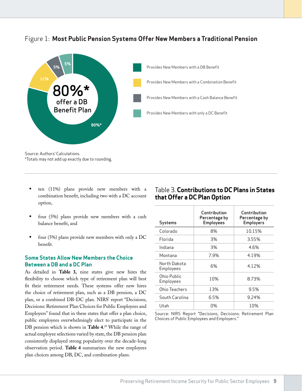

### Figure 1: **Most Public Pension Systems Offer New Members a Traditional Pension**

\*Totals may not add up exactly due to rounding.

- ten (11%) plans provide new members with a combination benefit, including two with a DC account option,
- four (5%) plans provide new members with a cash balance benefit, and
- four (5%) plans provide new members with only a DC benefit.

#### **Some States Allow New Members the Choice Between a DB and a DC Plan**

As detailed in **Table 3,** nine states give new hires the flexibility to choose which type of retirement plan will best fit their retirement needs. These systems offer new hires the choice of retirement plan, such as a DB pension, a DC plan, or a combined DB-DC plan. NIRS' report "Decisions, Decisions: Retirement Plan Choices for Public Employees and Employers" found that in these states that offer a plan choice, public employees overwhelmingly elect to participate in the DB pension which is shown in **Table 4**. 29 While the range of actual employee selections varied by state, the DB pension plan consistently displayed strong popularity over the decade-long observation period. **Table 4** summarizes the new employees plan choices among DB, DC, and combination plans.

### Table 3. **Contributions to DC Plans in States that Offer a DC Plan Option**

| Systems                   | Contribution<br>Percentage by<br><b>Employees</b> | Contribution<br>Percentage by<br><b>Employers</b> |
|---------------------------|---------------------------------------------------|---------------------------------------------------|
| Colorado                  | 8%                                                | 10.15%                                            |
| <b>Florida</b>            | 3%                                                | 3.55%                                             |
| Indiana                   | 3%                                                | 4.6%                                              |
| Montana                   | 7.9%                                              | 4.19%                                             |
| North Dakota<br>Employees | 6%                                                | 4.12%                                             |
| Ohio Public<br>Employees  | 10%                                               | 8.73%                                             |
| Ohio Teachers             | 13%                                               | 9.5%                                              |
| South Carolina            | 6.5%                                              | 9.24%                                             |
| Utah                      | በ%                                                | 10%                                               |

Source: NIRS Report "Decisions, Decisions: Retirement Plan Choices of Public Employees and Employers."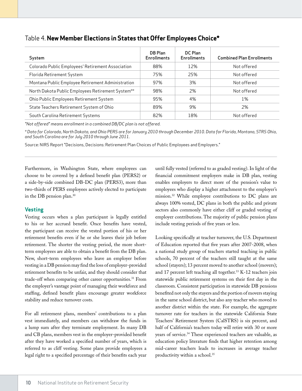| System                                            | DB Plan<br><b>Enrollments</b> | DC Plan<br><b>Enrollments</b> | <b>Combined Plan Enrollments</b> |
|---------------------------------------------------|-------------------------------|-------------------------------|----------------------------------|
| Colorado Public Employees' Retirement Association | 88%                           | 12%                           | Not offered                      |
| Florida Retirement System                         | 75%                           | 25%                           | Not offered                      |
| Montana Public Employee Retirement Administration | 97%                           | 3%                            | Not offered                      |
| North Dakota Public Employees Retirement System** | 98%                           | 2%                            | Not offered                      |
| Ohio Public Employees Retirement System           | 95%                           | 4%                            | 1%                               |
| State Teachers Retirement System of Ohio          | 89%                           | 9%                            | 2%                               |
| South Carolina Retirement Systems                 | 82%                           | 18%                           | Not offered                      |

### Table 4. **New Member Elections in States that Offer Employees Choice\***

*"Not offered" means enrollment in a combined DB/DC plan is not offered.*

*\* Data for Colorado, North Dakota, and Ohio PERS are for January 2010 through December 2010. Data for Florida, Montana, STRS Ohio, and South Carolina are for July 2010 through June 2011.* 

Source: NIRS Report "Decisions, Decisions: Retirement Plan Choices of Public Employees and Employers."

Furthermore, in Washington State, where employees can choose to be covered by a defined benefit plan (PERS2) or a side-by-side combined DB-DC plan (PERS3), more than two-thirds of PERS employees actively elected to participate in the DB pension plan.30

#### **Vesting**

Vesting occurs when a plan participant is legally entitled to his or her accrued benefit. Once benefits have vested, the participant can receive the vested portion of his or her retirement benefits even if he or she leaves their job before retirement. The shorter the vesting period, the more shortterm employees are able to obtain a benefit from the DB plan. New, short-term employees who leave an employer before vesting in a DB pension may find the loss of employer-provided retirement benefits to be unfair, and they should consider that trade-off when comparing other career opportunities.<sup>31</sup> From the employer's vantage point of managing their workforce and staffing, defined benefit plans encourage greater workforce stability and reduce turnover costs.

For all retirement plans, members' contributions to a plan vest immediately, and members can withdraw the funds in a lump sum after they terminate employment. In many DB and CB plans, members vest in the employer-provided benefit after they have worked a specified number of years, which is referred to as cliff vesting. Some plans provide employees a legal right to a specified percentage of their benefits each year until fully vested (referred to as graded vesting). In light of the financial commitment employers make in DB plan, vesting enables employers to direct more of the pension's value to employees who display a higher attachment to the employer's mission.32 While employee contributions to DC plans are always 100% vested, DC plans in both the public and private sectors also commonly have either cliff or graded vesting of employer contributions. The majority of public pension plans include vesting periods of five years or less.

Looking specifically at teacher turnover, the U.S. Department of Education reported that five years after 2007-2008, when a national study group of teachers started teaching in public schools, 70 percent of the teachers still taught at the same school (stayers); 13 percent moved to another school (movers); and 17 percent left teaching all together.33 K-12 teachers join statewide public retirement systems on their first day in the classroom. Consistent participation in statewide DB pensions benefited not only the stayers and the portion of movers staying in the same school district, but also any teacher who moved to another district within the state. For example, the aggregate turnover rate for teachers in the statewide California State Teachers' Retirement System (CalSTRS) is six percent, and half of California's teachers today will retire with 30 or more years of service.34 These experienced teachers are valuable, as education policy literature finds that higher retention among mid-career teachers leads to increases in average teacher productivity within a school.<sup>35</sup>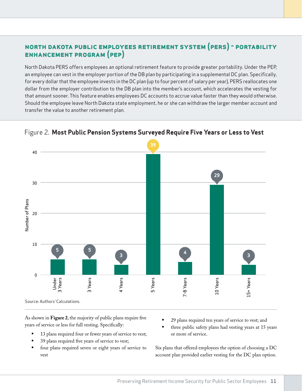### **north dakota public employees retirement system (pers) - portability enhancement program (pep)**

North Dakota PERS offers employees an optional retirement feature to provide greater portability. Under the PEP, an employee can vest in the employer portion of the DB plan by participating in a supplemental DC plan. Specifically, for every dollar that the employee invests in the DC plan (up to four percent of salary per year), PERS reallocates one dollar from the employer contribution to the DB plan into the member's account, which accelerates the vesting for that amount sooner. This feature enables employees DC accounts to accrue value faster than they would otherwise. Should the employee leave North Dakota state employment, he or she can withdraw the larger member account and transfer the value to another retirement plan.



### Figure 2. **Most Public Pension Systems Surveyed Require Five Years or Less to Vest**

As shown in **Figure 2**, the majority of public plans require five years of service or less for full vesting. Specifically:

- 13 plans required four or fewer years of service to vest;
- 39 plans required five years of service to vest;
- four plans required seven or eight years of service to vest
- 29 plans required ten years of service to vest; and
- three public safety plans had vesting years at 15 years or more of service.

Six plans that offered employees the option of choosing a DC account plan provided earlier vesting for the DC plan option.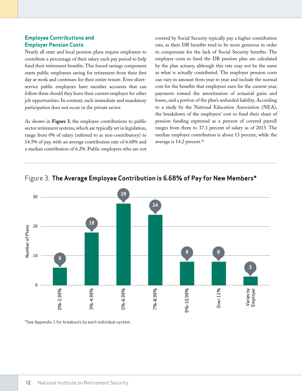#### **Employee Contributions and Employer Pension Costs**

Nearly all state and local pension plans require employees to contribute a percentage of their salary each pay period to help fund their retirement benefits. This forced savings component starts public employees saving for retirement from their first day at work and continues for their entire tenure. Even shortservice public employees have member accounts that can follow them should they leave their current employer for other job opportunities. In contrast, such immediate and mandatory participation does not occur in the private sector.

As shown in **Figure 3**, the employee contributions to public sector retirement systems, which are typically set in legislation, range from 0% of salary (referred to as non-contributory) to 14.5% of pay, with an average contribution rate of 6.68% and a median contribution of 6.2%. Public employees who are not covered by Social Security typically pay a higher contribution rate, as their DB benefits tend to be more generous in order to compensate for the lack of Social Security benefits. The employer costs to fund the DB pension plan are calculated by the plan actuary, although this rate may not be the same as what is actually contributed. The employer pension costs can vary in amount from year to year and include the normal cost for the benefits that employees earn for the current year, payments toward the amortization of actuarial gains and losses, and a portion of the plan's unfunded liability. According to a study by the National Education Association (NEA), the breakdown of the employers' cost to fund their share of pension funding expressed as a percent of covered payroll ranges from three to 37.3 percent of salary as of 2015. The median employer contribution is about 13 percent, while the average is 14.2 percent.36





\*See Appendix 1 for breakouts by each individual system.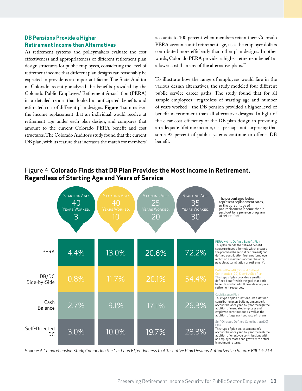#### **DB Pensions Provide a Higher Retirement Income than Alternatives**

As retirement systems and policymakers evaluate the cost effectiveness and appropriateness of different retirement plan design structures for public employees, considering the level of retirement income that different plan designs can reasonably be expected to provide is an important factor. The State Auditor in Colorado recently analyzed the benefits provided by the Colorado Public Employees' Retirement Association (PERA) in a detailed report that looked at anticipated benefits and estimated cost of different plan designs. **Figure 4** summarizes the income replacement that an individual would receive at retirement age under each plan design, and compares that amount to the current Colorado PERA benefit and cost structures. The Colorado Auditor's study found that the current DB plan, with its feature that increases the match for members'

accounts to 100 percent when members retain their Colorado PERA accounts until retirement age, uses the employer dollars contributed more efficiently than other plan designs. In other words, Colorado PERA provides a higher retirement benefit at a lower cost than any of the alternative plans.37

To illustrate how the range of employees would fare in the various design alternatives, the study modeled four different public service career paths. The study found that for all sample employees—regardless of starting age and number of years worked—the DB pension provided a higher level of benefit in retirement than all alternative designs. In light of the clear cost-efficiency of the DB plan design in providing an adequate lifetime income, it is perhaps not surprising that some 92 percent of public systems continue to offer a DB benefit.



### Figure 4: **Colorado Finds that DB Plan Provides the Most Income in Retirement, Regardless of Starting Age and Years of Service**

Source: *A Comprehensive Study Comparing the Cost and Effectiveness to Alternative Plan Designs Authorized by Senate Bill 14-214.*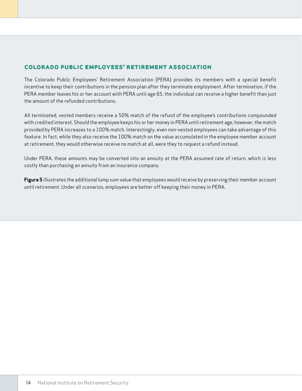### **colorado public employees' retirement association**

The Colorado Public Employees' Retirement Association (PERA) provides its members with a special benefit incentive to keep their contributions in the pension plan after they terminate employment. After termination, if the PERA member leaves his or her account with PERA until age 65, the individual can receive a higher benefit than just the amount of the refunded contributions.

All terminated, vested members receive a 50% match of the refund of the employee's contributions compounded with credited interest. Should the employee keeps his or her money in PERA until retirement age, however, the match provided by PERA increases to a 100% match. Interestingly, even non-vested employees can take advantage of this feature. In fact, while they also receive the 100% match on the value accumulated in the employee member account at retirement, they would otherwise receive no match at all, were they to request a refund instead.

Under PERA, these amounts may be converted into an annuity at the PERA assumed rate of return, which is less costly than purchasing an annuity from an insurance company.

**Figure 5** illustrates the additional lump sum value that employees would receive by preserving their member account until retirement. Under all scenarios, employees are better off keeping their money in PERA.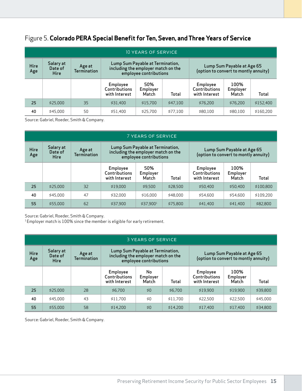### Figure 5. **Colorado PERA Special Benefit for Ten, Seven, and Three Years of Service**

| 10 YEARS OF SERVICE |                                     |                              |                                            |                                                            |          |                                            |                            |           |  |  |
|---------------------|-------------------------------------|------------------------------|--------------------------------------------|------------------------------------------------------------|----------|--------------------------------------------|----------------------------|-----------|--|--|
| Hire<br>Age         | Salary at<br>Date of<br><b>Hire</b> | Age at<br><b>Termination</b> | including the employer match on the        | Lump Sum Payable at Termination,<br>employee contributions |          | (option to convert to montly annuity)      | Lump Sum Payable at Age 65 |           |  |  |
|                     |                                     |                              | Employee<br>Contributions<br>with Interest | 50%<br>Employer<br>Match                                   | Total    | Employee<br>Contributions<br>with Interest | 100%<br>Employer<br>Match  | Total     |  |  |
| 25                  | \$25,000                            | 35                           | \$31.400                                   | \$15.700                                                   | \$47.100 | \$76.200                                   | \$76,200                   | \$152.400 |  |  |
| 40                  | \$45,000                            | 50                           | \$51.400                                   | \$25,700                                                   | \$77.100 | \$80,100                                   | \$80,100                   | \$160.200 |  |  |

Source: Gabriel, Roeder, Smith & Company.

|             | 7 YEARS OF SERVICE           |                              |                                                                                 |                                                            |          |                                            |                            |           |  |  |  |  |
|-------------|------------------------------|------------------------------|---------------------------------------------------------------------------------|------------------------------------------------------------|----------|--------------------------------------------|----------------------------|-----------|--|--|--|--|
| Hire<br>Age | Salary at<br>Date of<br>Hire | Age at<br><b>Termination</b> | including the employer match on the                                             | Lump Sum Payable at Termination,<br>employee contributions |          | (option to convert to montly annuity)      | Lump Sum Payable at Age 65 |           |  |  |  |  |
|             |                              |                              | 50%<br>Employee<br>Contributions<br>Employer<br>with Interest<br>Match<br>Total |                                                            |          | Employee<br>Contributions<br>with Interest | 100%<br>Employer<br>Match  | Total     |  |  |  |  |
| 25          | \$25.000                     | 32                           | \$19.000                                                                        | \$9.500                                                    | \$28,500 | \$50,400                                   | \$50,400                   | \$100.800 |  |  |  |  |
| 40          | \$45,000                     | 47                           | \$32,000                                                                        | \$16.000                                                   | \$48,000 | \$54,600                                   | \$54,600                   | \$109.200 |  |  |  |  |
| 55          | \$55,000                     | 62                           | \$37.900                                                                        | \$37.900 <sup>1</sup>                                      | \$75,800 | \$41.400                                   | \$41.400                   | \$82,800  |  |  |  |  |

Source: Gabriel, Roeder, Smith & Company.

<sup>1</sup> Employer match is 100% since the member is eligible for early retirement.

|             | <b>3 YEARS OF SERVICE</b>           |                              |                                            |                                                            |          |                                            |                            |          |  |  |  |  |
|-------------|-------------------------------------|------------------------------|--------------------------------------------|------------------------------------------------------------|----------|--------------------------------------------|----------------------------|----------|--|--|--|--|
| Hire<br>Age | Salary at<br>Date of<br><b>Hire</b> | Age at<br><b>Termination</b> | including the employer match on the        | Lump Sum Payable at Termination,<br>employee contributions |          | (option to convert to montly annuity)      | Lump Sum Payable at Age 65 |          |  |  |  |  |
|             |                                     |                              | Employee<br>Contributions<br>with Interest | No<br>Employer<br>Match                                    | Total    | Employee<br>Contributions<br>with Interest | 100%<br>Employer<br>Match  | Total    |  |  |  |  |
| 25          | \$25.000                            | 28                           | \$6.700                                    | \$0                                                        | \$6.700  | \$19.900                                   | \$19.900                   | \$39,800 |  |  |  |  |
| 40          | \$45,000                            | 43                           | \$11.700                                   | \$0                                                        | \$11.700 | \$22.500                                   | \$22.500                   | \$45,000 |  |  |  |  |
| 55          | \$55.000                            | 58                           | \$14.200                                   | \$0                                                        | \$14.200 | \$17.400                                   | \$17.400                   | \$34,800 |  |  |  |  |

Source: Gabriel, Roeder, Smith & Company.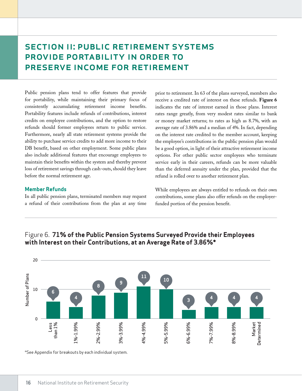# SECTION II: PUBLIC RETIREMENT SYSTEMS provide portability in order to preserve income for retirement

Public pension plans tend to offer features that provide for portability, while maintaining their primary focus of consistently accumulating retirement income benefits. Portability features include refunds of contributions, interest credits on employee contributions, and the option to restore refunds should former employees return to public service. Furthermore, nearly all state retirement systems provide the ability to purchase service credits to add more income to their DB benefit, based on other employment. Some public plans also include additional features that encourage employees to maintain their benefits within the system and thereby prevent loss of retirement savings through cash-outs, should they leave before the normal retirement age.

#### **Member Refunds**

In all public pension plans, terminated members may request a refund of their contributions from the plan at any time

prior to retirement. In 63 of the plans surveyed, members also receive a credited rate of interest on these refunds. **Figure 6** indicates the rate of interest earned in those plans. Interest rates range greatly, from very modest rates similar to bank or money market returns; to rates as high as 8.7%, with an average rate of 3.86% and a median of 4%. In fact, depending on the interest rate credited to the member account, keeping the employee's contributions in the public pension plan would be a good option, in light of their attractive retirement income options. For other public sector employees who terminate service early in their careers, refunds can be more valuable than the deferred annuity under the plan, provided that the refund is rolled over to another retirement plan.

While employees are always entitled to refunds on their own contributions, some plans also offer refunds on the employerfunded portion of the pension benefit.



### Figure 6. **71% of the Public Pension Systems Surveyed Provide their Employees with Interest on their Contributions, at an Average Rate of 3.86%\***

\*See Appendix for breakouts by each individual system.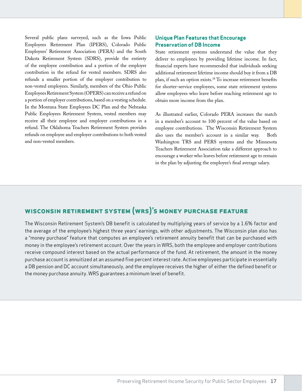Several public plans surveyed, such as the Iowa Public Employees Retirement Plan (IPERS), Colorado Public Employees' Retirement Association (PERA) and the South Dakota Retirement System (SDRS), provide the entirety of the employee contribution and a portion of the employer contribution in the refund for vested members. SDRS also refunds a smaller portion of the employer contribution to non-vested employees. Similarly, members of the Ohio Public Employees Retirement System (OPERS) can receive a refund on a portion of employer contributions, based on a vesting schedule. In the Montana State Employees DC Plan and the Nebraska Public Employees Retirement System, vested members may receive all their employee and employer contributions in a refund. The Oklahoma Teachers Retirement System provides refunds on employee and employer contributions to both vested and non-vested members.

#### **Unique Plan Features that Encourage Preservation of DB Income**

State retirement systems understand the value that they deliver to employees by providing lifetime income. In fact, financial experts have recommended that individuals seeking additional retirement lifetime income should buy it from a DB plan, if such an option exists.38 To increase retirement benefits for shorter-service employees, some state retirement systems allow employees who leave before reaching retirement age to obtain more income from the plan.

As illustrated earlier, Colorado PERA increases the match in a member's account to 100 percent of the value based on employee contributions. The Wisconsin Retirement System also uses the member's account in a similar way. Both Washington TRS and PERS systems and the Minnesota Teachers Retirement Association take a different approach to encourage a worker who leaves before retirement age to remain in the plan by adjusting the employee's final average salary.

### **wisconsin retirement system (wrs)'s money purchase feature**

The Wisconsin Retirement System's DB benefit is calculated by multiplying years of service by a 1.6% factor and the average of the employee's highest three years' earnings, with other adjustments. The Wisconsin plan also has a "money purchase" feature that computes an employee's retirement annuity benefit that can be purchased with money in the employee's retirement account. Over the years in WRS, both the employee and employer contributions receive compound interest based on the actual performance of the fund. At retirement, the amount in the money purchase account is annuitized at an assumed five percent interest rate. Active employees participate in essentially a DB pension and DC account simultaneously, and the employee receives the higher of either the defined benefit or the money purchase annuity. WRS guarantees a minimum level of benefit.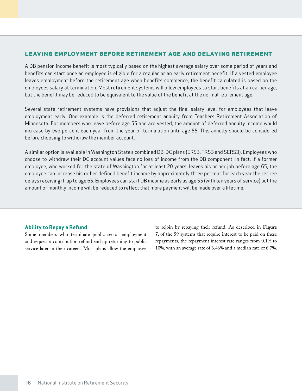#### **leaving employment before retirement age and delaying retirement**

A DB pension income benefit is most typically based on the highest average salary over some period of years and benefits can start once an employee is eligible for a regular or an early retirement benefit. If a vested employee leaves employment before the retirement age when benefits commence, the benefit calculated is based on the employees salary at termination. Most retirement systems will allow employees to start benefits at an earlier age, but the benefit may be reduced to be equivalent to the value of the benefit at the normal retirement age.

Several state retirement systems have provisions that adjust the final salary level for employees that leave employment early. One example is the deferred retirement annuity from Teachers Retirement Association of Minnesota. For members who leave before age 55 and are vested, the amount of deferred annuity income would increase by two percent each year from the year of termination until age 55. This annuity should be considered before choosing to withdraw the member account.

A similar option is available in Washington State's combined DB-DC plans (ERS3, TRS3 and SERS3). Employees who choose to withdraw their DC account values face no loss of income from the DB component. In fact, if a former employee, who worked for the state of Washington for at least 20 years, leaves his or her job before age 65, the employee can increase his or her defined benefit income by approximately three percent for each year the retiree delays receiving it, up to age 65. Employees can start DB income as early as age 55 (with ten years of service) but the amount of monthly income will be reduced to reflect that more payment will be made over a lifetime.

#### **Ability to Repay a Refund**

Some members who terminate public sector employment and request a contribution refund end up returning to public service later in their careers. Most plans allow the employee

to rejoin by repaying their refund. As described in **Figure 7**, of the 59 systems that require interest to be paid on these repayments, the repayment interest rate ranges from 0.1% to 10%, with an average rate of 6.46% and a median rate of 6.7%.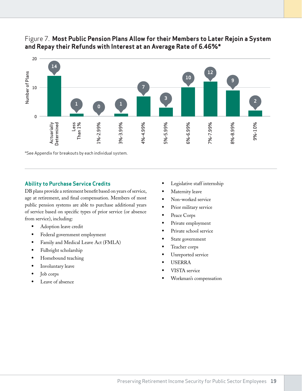

### Figure 7. **Most Public Pension Plans Allow for their Members to Later Rejoin a System and Repay their Refunds with Interest at an Average Rate of 6.46%\***

\*See Appendix for breakouts by each individual system.

#### **Ability to Purchase Service Credits**

DB plans provide a retirement benefit based on years of service, age at retirement, and final compensation. Members of most public pension systems are able to purchase additional years of service based on specific types of prior service (or absence from service), including:

- Adoption leave credit
- Federal government employment
- Family and Medical Leave Act (FMLA)
- Fulbright scholarship
- Homebound teaching
- Involuntary leave
- Job corps
- Leave of absence
- Legislative staff internship
- Maternity leave
- Non-worked service
- Prior military service
- Peace Corps
- Private employment
- Private school service
- State government
- Teacher corps
- Unreported service
- USERRA
- VISTA service
- Workman's compensation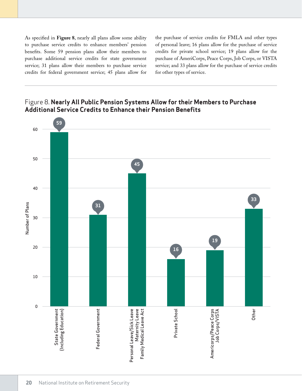As specified in **Figure 8**, nearly all plans allow some ability to purchase service credits to enhance members' pension benefits. Some 59 pension plans allow their members to purchase additional service credits for state government service; 31 plans allow their members to purchase service credits for federal government service; 45 plans allow for the purchase of service credits for FMLA and other types of personal leave; 16 plans allow for the purchase of service credits for private school service; 19 plans allow for the purchase of AmeriCorps, Peace Corps, Job Corps, or VISTA service; and 33 plans allow for the purchase of service credits for other types of service.



### Figure 8. **Nearly All Public Pension Systems Allow for their Members to Purchase Additional Service Credits to Enhance their Pension Benefits**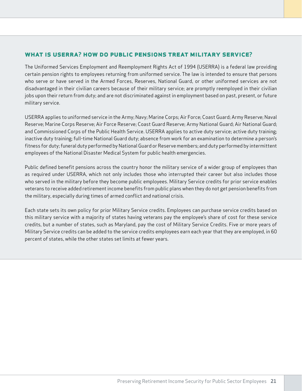### **what is userra? how do public pensions treat military service?**

The Uniformed Services Employment and Reemployment Rights Act of 1994 (USERRA) is a federal law providing certain pension rights to employees returning from uniformed service. The law is intended to ensure that persons who serve or have served in the Armed Forces, Reserves, National Guard, or other uniformed services are not disadvantaged in their civilian careers because of their military service; are promptly reemployed in their civilian jobs upon their return from duty; and are not discriminated against in employment based on past, present, or future military service.

USERRA applies to uniformed service in the Army; Navy; Marine Corps; Air Force; Coast Guard; Army Reserve; Naval Reserve; Marine Corps Reserve; Air Force Reserve; Coast Guard Reserve; Army National Guard; Air National Guard; and Commissioned Corps of the Public Health Service. USERRA applies to active duty service; active duty training; inactive duty training; full-time National Guard duty; absence from work for an examination to determine a person's fitness for duty; funeral duty performed by National Guard or Reserve members; and duty performed by intermittent employees of the National Disaster Medical System for public health emergencies.

Public defined benefit pensions across the country honor the military service of a wider group of employees than as required under USERRA, which not only includes those who interrupted their career but also includes those who served in the military before they become public employees. Military Service credits for prior service enables veterans to receive added retirement income benefits from public plans when they do not get pension benefits from the military, especially during times of armed conflict and national crisis.

Each state sets its own policy for prior Military Service credits. Employees can purchase service credits based on this military service with a majority of states having veterans pay the employee's share of cost for these service credits, but a number of states, such as Maryland, pay the cost of Military Service Credits. Five or more years of Military Service credits can be added to the service credits employees earn each year that they are employed, in 60 percent of states, while the other states set limits at fewer years.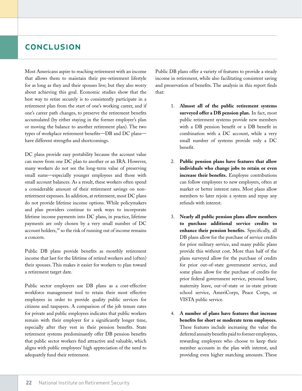### conclusion

Most Americans aspire to reaching retirement with an income that allows them to maintain their pre-retirement lifestyle for as long as they and their spouses live; but they also worry about achieving this goal. Economic studies show that the best way to retire securely is to consistently participate in a retirement plan from the start of one's working career, and if one's career path changes, to preserve the retirement benefits accumulated (by either staying in the former employer's plan or moving the balance to another retirement plan). The two types of workplace retirement benefits—DB and DC plans have different strengths and shortcomings.

DC plans provide easy portability because the account value can move from one DC plan to another or an IRA. However, many workers do not see the long-term value of preserving small sums—especially younger employees and those with small account balances. As a result, these workers often spend a considerable amount of their retirement savings on nonretirement expenses. In addition, at retirement, most DC plans do not provide lifetime income options. While policymakers and plan providers continue to seek ways to incorporate lifetime income payments into DC plans, in practice, lifetime payments are only chosen by a very small number of DC account holders,<sup>39</sup> so the risk of running out of income remains a concern.

Public DB plans provide benefits as monthly retirement income that last for the lifetime of retired workers and (often) their spouses. This makes it easier for workers to plan toward a retirement target date.

Public sector employers use DB plans as a cost-effective workforce management tool to retain their most effective employees in order to provide quality public services for citizens and taxpayers. A comparison of the job tenure rates for private and public employees indicates that public workers remain with their employer for a significantly longer time, especially after they vest in their pension benefits. State retirement systems predominantly offer DB pension benefits that public sector workers find attractive and valuable, which aligns with public employees' high appreciation of the need to adequately fund their retirement.

Public DB plans offer a variety of features to provide a steady income in retirement, while also facilitating consistent saving and preservation of benefits. The analysis in this report finds that:

- 1. **Almost all of the public retirement systems surveyed offer a DB pension plan.** In fact, most public retirement systems provide new members with a DB pension benefit or a DB benefit in combination with a DC account, while a very small number of systems provide only a DC benefit.
- 2. **Public pension plans have features that allow individuals who change jobs to retain or even increase their benefits.** Employee contributions can follow employees to new employers, often at market or better interest rates. Most plans allow members to later rejoin a system and repay any refunds with interest.
- 3. **Nearly all public pension plans allow members to purchase additional service credits to enhance their pension benefits.** Specifically, all DB plans allow for the purchase of service credits for prior military service, and many public plans provide this without cost. More than half of the plans surveyed allow for the purchase of credits for prior out-of-state government service, and some plans allow for the purchase of credits for prior federal government service, personal leave, maternity leave, out-of-state or in-state private school service, AmeriCorps, Peace Corps, or VISTA public service.
- 4. **A number of plans have features that increase benefits for short or moderate term employees.** These features include increasing the value the deferred annuity benefits paid to former employees, rewarding employees who choose to keep their member accounts in the plan with interest, and providing even higher matching amounts. These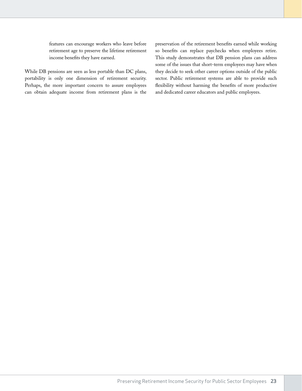features can encourage workers who leave before retirement age to preserve the lifetime retirement income benefits they have earned.

While DB pensions are seen as less portable than DC plans, portability is only one dimension of retirement security. Perhaps, the more important concern to assure employees can obtain adequate income from retirement plans is the

preservation of the retirement benefits earned while working so benefits can replace paychecks when employees retire. This study demonstrates that DB pension plans can address some of the issues that short-term employees may have when they decide to seek other career options outside of the public sector. Public retirement systems are able to provide such flexibility without harming the benefits of more productive and dedicated career educators and public employees.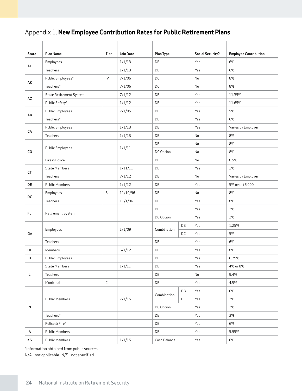# Appendix 1. **New Employee Contribution Rates for Public Retirement Plans**

| State      | Plan Name                      | Tier                               | Join Date | Plan Type              |    | <b>Social Security?</b> | <b>Employee Contribution</b> |
|------------|--------------------------------|------------------------------------|-----------|------------------------|----|-------------------------|------------------------------|
| AL.        | Employees                      | Ш.                                 | 1/1/13    | DB                     |    | Yes                     | 6%                           |
|            | Teachers                       | $\mathbf{  }$                      | 1/1/13    | DB                     |    | Yes                     | 6%                           |
| AK         | Public Employees*              | ${\sf IV}$                         | 7/1/06    | DC                     |    | No                      | 8%                           |
|            | Teachers*                      | $\ensuremath{\mathsf{III}}\xspace$ | 7/1/06    | DC                     |    | No                      | 8%                           |
| AZ         | <b>State Retirement System</b> |                                    | 7/1/12    | DB                     |    | Yes                     | 11.35%                       |
|            | Public Safety*                 |                                    | 1/1/12    | DB                     |    | Yes                     | 11.65%                       |
| AR         | <b>Public Employees</b>        |                                    | 7/1/05    | DB                     |    | Yes                     | 5%                           |
|            | Teachers*                      |                                    |           | DB                     |    | Yes                     | 6%                           |
| CA         | <b>Public Employees</b>        |                                    | 1/1/13    | DB                     |    | Yes                     | Varies by Employer           |
|            | Teachers                       |                                    | 1/1/13    | DB                     |    | No                      | 8%                           |
|            | <b>Public Employees</b>        |                                    | 1/1/11    | DB                     |    | No                      | 8%                           |
| CO         |                                |                                    |           | DC Option              |    | No                      | 8%                           |
|            | Fire & Police                  |                                    |           | DB                     |    | No                      | 8.5%                         |
| СT         | <b>State Members</b>           |                                    | 1/11/11   | DB                     |    | Yes                     | 2%                           |
|            | Teachers                       |                                    | 7/1/12    | DB                     |    | No                      | Varies by Employer           |
| DE         | <b>Public Members</b>          |                                    | 1/1/12    | DB                     |    | Yes                     | 5% over \$6,000              |
| DC         | Employees                      | 3                                  | 11/10/96  | DB                     |    | No                      | 8%                           |
|            | Teachers                       | $\mathbf{  }$                      | 11/1/96   | DB                     |    | Yes                     | 8%                           |
| FL.        | Retirement System              |                                    |           | DB                     |    | Yes                     | 3%                           |
|            |                                |                                    |           | DC Option              |    | Yes                     | 3%                           |
|            | Employees                      |                                    | 1/1/09    | Combination            | DB | Yes                     | 1.25%                        |
| GA         |                                |                                    |           |                        | DC | Yes                     | 5%                           |
|            | Teachers                       |                                    |           | DB                     |    | Yes                     | 6%                           |
| HI         | Members                        |                                    | 6/1/12    | DB                     |    | Yes                     | 8%                           |
| ID         | <b>Public Employees</b>        |                                    |           | DB                     |    | Yes                     | 6.79%                        |
|            | State Members                  | $\mathbf{  }$                      | 1/1/11    | DB                     |    | Yes                     | 4% or 8%                     |
| IL         | Teachers                       | $\mathbf{  }$                      |           | DB                     |    | No                      | 9.4%                         |
|            | Municipal                      | $\overline{2}$                     |           | $\mathsf{D}\mathsf{B}$ |    | Yes                     | 4.5%                         |
|            |                                |                                    |           | Combination            | DB | Yes                     | 0%                           |
|            | Public Members                 |                                    | 7/1/15    |                        | DC | Yes                     | 3%                           |
| ${\sf IN}$ |                                |                                    |           | DC Option              |    | Yes                     | 3%                           |
|            | Teachers*                      |                                    |           | DB                     |    | Yes                     | 3%                           |
|            | Police & Fire*                 |                                    |           | DB                     |    | Yes                     | 6%                           |
| IA         | Public Members                 |                                    |           | DB                     |    | Yes                     | 5.95%                        |
| KS         | Public Members                 |                                    | 1/1/15    | Cash Balance           |    | Yes                     | 6%                           |

\*Information obtained from public sources.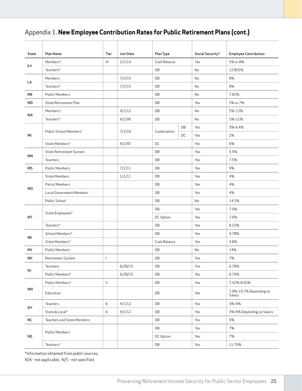# Appendix 1. **New Employee Contribution Rates for Public Retirement Plans (cont.)**

| State      | Plan Name                       | Tier                      | Join Date | Plan Type    |    | <b>Social Security?</b> | <b>Employee Contribution</b>      |
|------------|---------------------------------|---------------------------|-----------|--------------|----|-------------------------|-----------------------------------|
|            | Members*                        | $\mathbf{III}$            | 1/1/14    | Cash Balance |    | Yes                     | 5% or 8%                          |
| KY         | Teachers*                       |                           |           | DB           |    | No                      | 12.855%                           |
|            | Members                         |                           | 7/1/15    | DB           |    | No                      | 8%                                |
| LA         | Teachers*                       |                           | 7/1/15    | DB           |    | No                      | 8%                                |
| ME         | <b>Public Members</b>           |                           |           | DB           |    | No                      | 7.65%                             |
| MD         | <b>State Retirement Plan</b>    |                           |           | DB           |    | Yes                     | 5% or 7%                          |
| МA         | Members*                        |                           | 4/1/12    | DB           |    | No                      | 5%-12%                            |
|            | Teachers*                       |                           | 4/1/06    | DB           |    | No                      | 5%-11%                            |
|            | Public School Members*          |                           |           | Combination  | DB | Yes                     | 3%-6.4%                           |
| ΜI         |                                 |                           | 7/1/10    |              | DC | Yes                     | 2%                                |
|            | State Members*                  |                           | 4/1/97    | DC           |    | Yes                     | 6%                                |
| MN         | State Retirement System         |                           |           | DB           |    | Yes                     | 5.5%                              |
|            | Teachers                        |                           |           | DB           |    | Yes                     | 7.5%                              |
| МS         | <b>Public Members</b>           |                           | 7/1/11    | DB           |    | Yes                     | 9%                                |
|            | <b>State Members</b>            |                           | 1/1/11    | DB           |    | Yes                     | 4%                                |
|            | Patrol Members                  |                           |           | DB           |    | Yes                     | 4%                                |
| M0         | <b>Local Government Members</b> |                           |           | DB           |    | Yes                     | 4%                                |
|            | Public School                   |                           |           | DB           |    | No                      | 14.5%                             |
|            |                                 |                           |           | DB           |    | Yes                     | 7.9%                              |
| MT         | State Employees*                |                           |           | DC Option    |    | Yes                     | 7.9%                              |
|            | Teachers*                       |                           |           | DB           |    | Yes                     | 8.15%                             |
|            | School Members*                 |                           |           | DB           |    | Yes                     | 9.78%                             |
| NE         | State Members*                  |                           |           | Cash Balance |    | Yes                     | 4.8%                              |
| <b>NV</b>  | <b>Public Members</b>           |                           |           | DB           |    | No                      | 14%                               |
| <b>NH</b>  | Retirement System               | $\mathbf{I}$              |           | DB           |    | Yes                     | 7%                                |
| NJ         | Teachers                        |                           | 6/28/15   | DB           |    | Yes                     | 6.78%                             |
|            | Public Members*                 |                           | 6/28/15   | DB           |    | Yes                     | 6.70%                             |
|            | Public Members*                 | $\mathop{\rm H}\nolimits$ |           | DB           |    | Yes                     | 7.42%-8.92%                       |
| <b>NM</b>  | Education                       |                           |           | DB           |    | Yes                     | 7.9%-10.7% Depending on<br>Salary |
| NY         | Teachers                        | 6                         | 4/1/12    | DB           |    | Yes                     | 3%-6%                             |
|            | State & Local*                  | 6                         | 4/1/12    | DB           |    | Yes                     | 3%-6% Depending on Salary         |
| ${\sf NC}$ | Teachers and State Members      |                           |           | DB           |    | Yes                     | 6%                                |
|            |                                 |                           |           | DB           |    | Yes                     | 7%                                |
| <b>ND</b>  | <b>Public Members</b>           |                           |           | DC Option    |    | Yes                     | 7%                                |
|            | Teachers*                       |                           |           | DB           |    | Yes                     | 11.75%                            |

\*Information obtained from public sources. N/A - not applicable. N/S - not specified.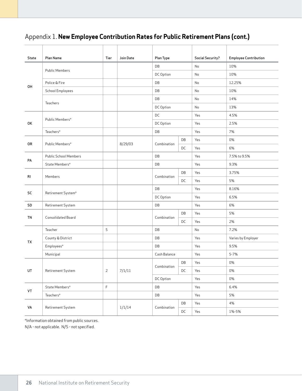# Appendix 1. **New Employee Contribution Rates for Public Retirement Plans (cont.)**

| State     | Plan Name                    | Tier           | Join Date | Plan Type       |    | <b>Social Security?</b> | <b>Employee Contribution</b> |
|-----------|------------------------------|----------------|-----------|-----------------|----|-------------------------|------------------------------|
|           | <b>Public Members</b>        |                |           | DB              |    | No                      | 10%                          |
|           |                              |                |           | DC Option       |    | No                      | 10%                          |
| OH        | Police & Fire                |                |           | DB              |    | No                      | 12.25%                       |
|           | School Employees             |                |           | DB              |    | No                      | 10%                          |
|           | Teachers                     |                |           | DB              |    | No                      | 14%                          |
|           |                              |                |           | DC Option       |    | No                      | 13%                          |
|           | Public Members*              |                |           | DC              |    | Yes                     | 4.5%                         |
| ОK        |                              |                |           | DC Option       |    | Yes                     | 2.5%                         |
|           | Teachers*                    |                |           | DB              |    | Yes                     | 7%                           |
|           |                              |                |           |                 | DB | Yes                     | 0%                           |
| 0R        | Public Members*              |                | 8/29/03   | Combination     | DC | Yes                     | 6%                           |
|           | <b>Public School Members</b> |                |           | DB              |    | Yes                     | 7.5% to 9.5%                 |
| PA        | State Members*               |                |           | DB              |    | Yes                     | 9.3%                         |
|           | Members                      |                |           | Combination     | DB | Yes                     | 3.75%                        |
| RI        |                              |                |           |                 | DC | Yes                     | 5%                           |
|           |                              |                |           | DB<br>DC Option |    | Yes                     | 8.16%                        |
| SC        | Retirement System*           |                |           |                 |    | Yes                     | 6.5%                         |
| SD        | Retirement System            |                |           | DB              |    | Yes                     | 6%                           |
|           |                              |                |           |                 | DB | Yes                     | 5%                           |
| <b>TN</b> | Consolidated Board           |                |           | Combination     | DC | Yes                     | 2%                           |
|           | Teacher                      | 5              |           | DB              |    | No                      | 7.2%                         |
| TX        | County & District            |                |           | DB              |    | Yes                     | Varies by Employer           |
|           | Employees*                   |                |           | DB              |    | Yes                     | 9.5%                         |
|           | Municipal                    |                |           | Cash Balance    |    | Yes                     | 5-7%                         |
|           |                              |                |           |                 | DB | Yes                     | 0%                           |
| UT        | Retirement System            | $\overline{2}$ | 7/1/11    | Combination     | DC | Yes                     | 0%                           |
|           |                              |                |           | DC Option       |    | Yes                     | 0%                           |
|           | State Members*               | $\mathsf F$    |           | DB              |    | Yes                     | 6.4%                         |
| VT        | Teachers*                    |                |           | DB              |    | Yes                     | 5%                           |
|           |                              |                |           |                 | DB | Yes                     | 4%                           |
| VA        | Retirement System            |                | 1/1/14    | Combination     | DC | Yes                     | 1%-5%                        |

\*Information obtained from public sources. N/A - not applicable. N/S - not specified.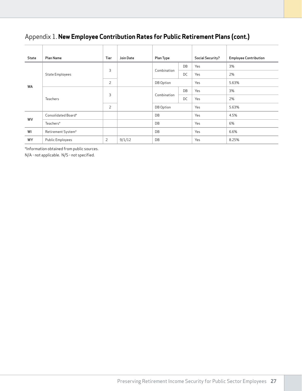# Appendix 1. **New Employee Contribution Rates for Public Retirement Plans (cont.)**

| State | Plan Name               | Tier           | Join Date | Plan Type   |    | <b>Social Security?</b> | <b>Employee Contribution</b> |
|-------|-------------------------|----------------|-----------|-------------|----|-------------------------|------------------------------|
| WA    |                         | 3              |           | Combination | DB | Yes                     | 3%                           |
|       | State Employees         |                |           |             | DC | Yes                     | 2%                           |
|       |                         | $\overline{2}$ |           | DB Option   |    | Yes                     | 5.63%                        |
|       | Teachers                |                |           | Combination | DB | Yes                     | 3%                           |
|       |                         | 3              |           |             | DC | Yes                     | 2%                           |
|       |                         | $\overline{2}$ |           | DB Option   |    | Yes                     | 5.63%                        |
| WV    | Consolidated Board*     |                |           | DB          |    | Yes                     | 4.5%                         |
|       | Teachers*               |                |           | DB          |    | Yes                     | 6%                           |
| WI    | Retirement System*      |                |           | DB          |    | Yes                     | 6.6%                         |
| WY    | <b>Public Employees</b> | 2              | 9/1/12    | DB          |    | Yes                     | 8.25%                        |

\*Information obtained from public sources.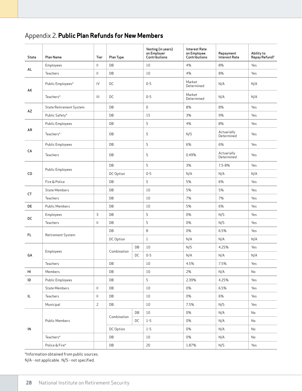# Appendix 2. **Public Plan Refunds for New Members**

| State      | Plan Name                      | Tier                       | Plan Type   |    | Vesting (in years)<br>on Employer<br>Contributions | <b>Interest Rate</b><br>on Employee<br>Contributions | Repayment<br><b>Interest Rate</b> | Ability to<br>Repay Refund? |
|------------|--------------------------------|----------------------------|-------------|----|----------------------------------------------------|------------------------------------------------------|-----------------------------------|-----------------------------|
|            | Employees                      | $\mathbf{  }$              | DB          |    | 10                                                 | 4%                                                   | 8%                                | Yes                         |
| AL.        | Teachers                       | $\mathbf{  }$              | DB          |    | 10                                                 | 4%                                                   | 8%                                | Yes                         |
| AK         | Public Employees*              | IV                         | DC          |    | $0 - 5$                                            | Market<br>Determined                                 | N/A                               | N/A                         |
|            | Teachers*                      | $\mathbf{III}$             | DC          |    | $0 - 5$                                            | Market<br>Determined                                 | N/A                               | N/A                         |
| AZ         | <b>State Retirement System</b> |                            | DB          |    | $\mathbb O$                                        | 8%                                                   | 8%                                | Yes                         |
|            | Public Safety*                 |                            | DB          |    | 15                                                 | 3%                                                   | 9%                                | Yes                         |
|            | <b>Public Employees</b>        |                            | DB          |    | 5                                                  | 4%                                                   | 8%                                | Yes                         |
| AR         | Teachers*                      |                            | DB          |    | 5                                                  | N/S                                                  | Actuarially<br>Determined         | Yes                         |
|            | <b>Public Employees</b>        |                            | DB          |    | 5                                                  | 6%                                                   | 6%                                | Yes                         |
| CA         | Teachers                       |                            | DB          |    | 5                                                  | 0.49%                                                | Actuarially<br>Determined         | Yes                         |
|            |                                |                            | DB          |    | 5                                                  | 3%                                                   | 7.5-8%                            | Yes                         |
| CO         | <b>Public Employees</b>        |                            | DC Option   |    | $0 - 5$                                            | N/A                                                  | N/A                               | N/A                         |
|            | Fire & Police                  |                            | DB          |    | 5                                                  | 5%                                                   | 6%                                | Yes                         |
|            | <b>State Members</b>           |                            | DB          |    | 10                                                 | 5%                                                   | 5%                                | Yes                         |
| <b>CT</b>  | Teachers                       |                            | DB          |    | 10                                                 | 7%                                                   | 7%                                | Yes                         |
| DE         | <b>Public Members</b>          |                            | DB          |    | 10                                                 | 5%                                                   | 6%                                | Yes                         |
| DC         | Employees                      | $\mathbf{3}$               | DB          |    | 5                                                  | 0%                                                   | N/S                               | Yes                         |
|            | Teachers                       | $\mathbf{  }$              | DB          |    | 5                                                  | 0%                                                   | N/S                               | Yes                         |
| FL.        | Retirement System              |                            | DB          |    | 8                                                  | 0%                                                   | 6.5%                              | Yes                         |
|            |                                |                            | DC Option   |    | $\mathbf{1}$                                       | N/A                                                  | N/A                               | N/A                         |
|            | Employees                      |                            | Combination | DB | $10\,$                                             | N/S                                                  | 4.25%                             | Yes                         |
| GA         |                                |                            |             | DC | $0 - 5$                                            | N/A                                                  | N/A                               | N/A                         |
|            | Teachers                       |                            | DB          |    | 10                                                 | 4.5%                                                 | 7.5%                              | Yes                         |
| HI         | Members                        |                            | DB          |    | 10                                                 | 2%                                                   | N/A                               | No                          |
| $\sf ID$   | Public Employees               |                            | DB          |    | 5                                                  | 2.39%                                                | 4.25%                             | Yes                         |
|            | <b>State Members</b>           | $\mathbf{II}$              | DB          |    | 10                                                 | 0%                                                   | 6.5%                              | Yes                         |
| $\sf IL$   | Teachers                       | $\ensuremath{\mathsf{II}}$ | DB          |    | 10                                                 | 0%                                                   | 6%                                | Yes                         |
|            | Municipal                      | 2                          | DB          |    | 10                                                 | 7.5%                                                 | N/S                               | Yes                         |
|            |                                |                            | Combination | DB | 10                                                 | 0%                                                   | N/A                               | No                          |
|            | <b>Public Members</b>          |                            |             | DC | $1 - 5$                                            | 0%                                                   | N/A                               | No                          |
| ${\sf IN}$ |                                |                            | DC Option   |    | $1 - 5$                                            | 0%                                                   | N/A                               | No                          |
|            | $\texttt{Teachers*}$           |                            | DB          |    | $10\,$                                             | 0%                                                   | N/A                               | No                          |
|            | Police & Fire*                 |                            | DB          |    | $20\,$                                             | 1.87%                                                | N/S                               | Yes                         |

\*Information obtained from public sources.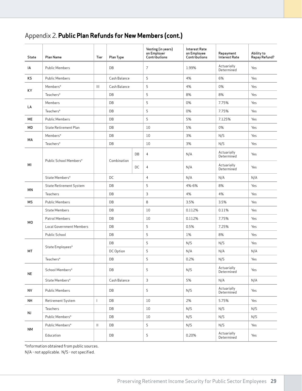# Appendix 2. **Public Plan Refunds for New Members (cont.)**

| State     | Plan Name                       | Tier         | Plan Type    |    | Vesting (in years)<br>on Employer<br>Contributions | <b>Interest Rate</b><br>on Employee<br>Contributions | Repayment<br><b>Interest Rate</b> | Ability to<br>Repay Refund? |
|-----------|---------------------------------|--------------|--------------|----|----------------------------------------------------|------------------------------------------------------|-----------------------------------|-----------------------------|
| IA        | <b>Public Members</b>           |              | DB           |    | 7                                                  | 1.99%                                                | Actuarially<br>Determined         | Yes                         |
| KS        | <b>Public Members</b>           |              | Cash Balance |    | 5                                                  | 4%                                                   | 6%                                | Yes                         |
|           | Members*                        | III          | Cash Balance |    | 5                                                  | 4%                                                   | 0%                                | Yes                         |
| КY        | Teachers*                       |              | DB           |    | 5                                                  | 8%                                                   | 8%                                | Yes                         |
|           | Members                         |              | DB           |    | 5                                                  | 0%                                                   | 7.75%                             | Yes                         |
| LA        | Teachers*                       |              | DB           |    | 5                                                  | 0%                                                   | 7.75%                             | Yes                         |
| МE        | <b>Public Members</b>           |              | DB           |    | 5                                                  | 5%                                                   | 7.125%                            | Yes                         |
| MD        | State Retirement Plan           |              | DB           |    | 10                                                 | 5%                                                   | 0%                                | Yes                         |
|           | Members*                        |              | DB           |    | 10                                                 | 3%                                                   | N/S                               | Yes                         |
| МA        | Teachers*                       |              | DB           |    | 10                                                 | 3%                                                   | N/S                               | Yes                         |
|           |                                 |              |              | DB | $\overline{4}$                                     | N/A                                                  | Actuarially<br>Determined         | Yes                         |
| MI        | Public School Members*          |              | Combination  | DC | $\overline{4}$                                     | N/A                                                  | Actuarially<br>Determined         | Yes                         |
|           | State Members*                  |              | DC           |    | $\overline{4}$                                     | N/A                                                  | N/A                               | N/A                         |
| ΜN        | <b>State Retirement System</b>  |              | DB           |    | 5                                                  | 4%-6%                                                | 8%                                | Yes                         |
|           | Teachers                        |              | DB           |    | 3                                                  | 4%                                                   | 4%                                | Yes                         |
| МS        | <b>Public Members</b>           |              | DB           |    | 8                                                  | 3.5%                                                 | 3.5%                              | Yes                         |
|           | <b>State Members</b>            |              | DB           |    | 10                                                 | 0.112%                                               | 0.11%                             | Yes                         |
| МO        | Patrol Members                  |              | DB           |    | 10                                                 | 0.112%                                               | 7.75%                             | Yes                         |
|           | <b>Local Government Members</b> |              | DB           |    | 5                                                  | 0.5%                                                 | 7.25%                             | Yes                         |
|           | Public School                   |              | DB           |    | 5                                                  | 1%                                                   | 8%                                | Yes                         |
|           |                                 |              | DB           |    | 5                                                  | N/S                                                  | N/S                               | Yes                         |
| МT        | State Employees*                |              | DC Option    |    | 5                                                  | N/A                                                  | N/A                               | N/A                         |
|           | Teachers*                       |              | DB           |    | 5                                                  | 0.2%                                                 | N/S                               | Yes                         |
| <b>NE</b> | School Members*                 |              | DB           |    | 5                                                  | N/S                                                  | Actuarially<br>Determined         | Yes                         |
|           | State Members*                  |              | Cash Balance |    | 3                                                  | 5%                                                   | N/A                               | N/A                         |
| <b>NV</b> | Public Members                  |              | DB           |    | 5                                                  | N/S                                                  | Actuarially<br>Determined         | Yes                         |
| NH        | Retirement System               | $\mathbf{I}$ | DB           |    | $10\,$                                             | 2%                                                   | 5.75%                             | Yes                         |
|           | Teachers                        |              | DB           |    | 10                                                 | N/S                                                  | N/S                               | N/S                         |
| <b>NJ</b> | Public Members*                 |              | DB           |    | 10                                                 | N/S                                                  | N/S                               | N/S                         |
|           | Public Members*                 | $\mathbf H$  | DB           |    | 5                                                  | N/S                                                  | N/S                               | Yes                         |
| <b>NM</b> | Education                       |              | DB           |    | 5                                                  | 0.20%                                                | Actuarially<br>Determined         | Yes                         |

\*Information obtained from public sources.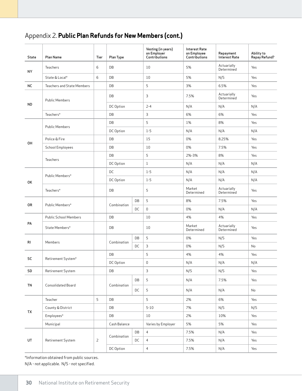# Appendix 2. **Public Plan Refunds for New Members (cont.)**

| <b>State</b> | Plan Name                         | Tier           | Plan Type    |    | Vesting (in years)<br>on Employer<br>Contributions | <b>Interest Rate</b><br>on Employee<br>Contributions | Repayment<br><b>Interest Rate</b> | Ability to<br>Repay Refund? |
|--------------|-----------------------------------|----------------|--------------|----|----------------------------------------------------|------------------------------------------------------|-----------------------------------|-----------------------------|
| NY           | Teachers                          | 6              | DB           |    | 10                                                 | 5%                                                   | Actuarially<br>Determined         | Yes                         |
|              | State & Local*                    | 6              | DB           |    | 10                                                 | 5%                                                   | N/S                               | Yes                         |
| NC           | <b>Teachers and State Members</b> |                | DB           |    | 5                                                  | 3%                                                   | 6.5%                              | Yes                         |
|              | <b>Public Members</b>             |                | DB           |    | 3                                                  | 7.5%                                                 | Actuarially<br>Determined         | Yes                         |
| <b>ND</b>    |                                   |                | DC Option    |    | $2 - 4$                                            | N/A                                                  | N/A                               | N/A                         |
|              | Teachers*                         |                | DB           |    | 3                                                  | 6%                                                   | 6%                                | Yes                         |
|              |                                   |                | DB           |    | 5                                                  | 1%                                                   | 8%                                | Yes                         |
|              | <b>Public Members</b>             |                | DC Option    |    | $1 - 5$                                            | N/A                                                  | N/A                               | N/A                         |
|              | Police & Fire                     |                | DB           |    | 15                                                 | 0%                                                   | 8.25%                             | Yes                         |
| OH           | School Employees                  |                | DB           |    | 10                                                 | 0%                                                   | 7.5%                              | Yes                         |
|              |                                   |                | DB           |    | 5                                                  | 2%-3%                                                | 8%                                | Yes                         |
|              | Teachers                          |                | DC Option    |    | $\mathbf{1}$                                       | N/A                                                  | N/A                               | N/A                         |
|              |                                   |                | DC           |    | $1 - 5$                                            | N/A                                                  | N/A                               | N/A                         |
| 0K           | Public Members*                   |                | DC Option    |    | $1 - 5$                                            | N/A                                                  | N/A                               | N/A                         |
|              | Teachers*                         |                | DB           |    | 5                                                  | Market<br>Determined                                 | Actuarially<br>Determined         | Yes                         |
| 0R           |                                   |                |              | DB | 5                                                  | 8%                                                   | 7.5%                              | Yes                         |
|              | Public Members*                   |                | Combination  | DC | $\mathbf 0$                                        | 0%                                                   | N/A                               | N/A                         |
|              | <b>Public School Members</b>      |                | DB           |    | 10                                                 | 4%                                                   | 4%                                | Yes                         |
| PA           | State Members*                    |                | DB           |    | 10                                                 | Market<br>Determined                                 | Actuarially<br>Determined         | Yes                         |
|              |                                   |                |              | DB | 5                                                  | 0%                                                   | N/S                               | Yes                         |
| RI           | Members                           |                | Combination  | DC | 3                                                  | 0%                                                   | N/S                               | No                          |
|              |                                   |                | DB           |    | 5                                                  | 4%                                                   | 4%                                | Yes                         |
| <b>SC</b>    | Retirement System*                |                | DC Option    |    | $\mathsf 0$                                        | N/A                                                  | N/A                               | N/A                         |
| SD           | Retirement System                 |                | DB           |    | $\mathsf{3}$                                       | N/S                                                  | N/S                               | Yes                         |
| <b>TN</b>    | Consolidated Board                |                | Combination  | DB | 5                                                  | N/A                                                  | 7.5%                              | Yes                         |
|              |                                   |                |              | DC | 5                                                  | N/A                                                  | N/A                               | No                          |
|              | Teacher                           | 5              | DB           |    | 5                                                  | 2%                                                   | 6%                                | Yes                         |
|              | County & District                 |                | DB           |    | $5 - 10$                                           | 7%                                                   | N/S                               | N/S                         |
| TX           | Employees*                        |                | DB           |    | $10\,$                                             | 2%                                                   | 10%                               | Yes                         |
|              | Municipal                         |                | Cash Balance |    | Varies by Employer                                 | 5%                                                   | 5%                                | Yes                         |
|              |                                   |                |              | DB | $\overline{4}$                                     | 7.5%                                                 | N/A                               | Yes                         |
| UT           | Retirement System                 | $\overline{2}$ | Combination  | DC | $\overline{4}$                                     | 7.5%                                                 | N/A                               | Yes                         |
|              |                                   |                | DC Option    |    | $\overline{4}$                                     | 7.5%                                                 | N/A                               | Yes                         |

\*Information obtained from public sources.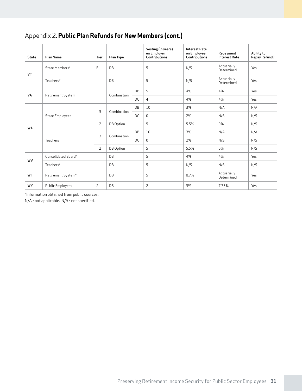# Appendix 2. **Public Plan Refunds for New Members (cont.)**

| <b>State</b> | Plan Name               | Tier           | Plan Type   |           | Vesting (in years)<br>on Employer<br>Contributions | <b>Interest Rate</b><br>on Employee<br>Contributions | Repayment<br><b>Interest Rate</b> | Ability to<br>Repay Refund? |
|--------------|-------------------------|----------------|-------------|-----------|----------------------------------------------------|------------------------------------------------------|-----------------------------------|-----------------------------|
|              | State Members*          | F              | DB          |           | 5                                                  | N/S                                                  | Actuarially<br>Determined         | Yes                         |
| VT           | Teachers*               |                | DB          |           | 5                                                  | N/S                                                  | Actuarially<br>Determined         | Yes                         |
| VA           | Retirement System       |                | Combination | <b>DB</b> | 5                                                  | 4%                                                   | 4%                                | Yes                         |
|              |                         |                |             | DC        | $\overline{4}$                                     | 4%                                                   | 4%                                | Yes                         |
|              | <b>State Employees</b>  | 3              | Combination | <b>DB</b> | 10                                                 | 3%                                                   | N/A                               | N/A                         |
|              |                         |                |             | <b>DC</b> | $\mathbf 0$                                        | 2%                                                   | N/S                               | N/S                         |
| <b>WA</b>    |                         | $\overline{2}$ | DB Option   |           | 5                                                  | 5.5%                                                 | 0%                                | N/S                         |
|              |                         |                | Combination | DB        | 10                                                 | 3%                                                   | N/A                               | N/A                         |
|              | Teachers                | 3              |             | DC        | $\mathbf 0$                                        | 2%                                                   | N/S                               | N/S                         |
|              |                         | $\overline{2}$ | DB Option   |           | 5                                                  | 5.5%                                                 | 0%                                | N/S                         |
| <b>WV</b>    | Consolidated Board*     |                | DB          |           | 5                                                  | 4%                                                   | 4%                                | Yes                         |
|              | Teachers*               |                | DB          |           | 5                                                  | N/S                                                  | N/S                               | N/S                         |
| WI           | Retirement System*      |                | DB          |           | 5                                                  | 8.7%                                                 | Actuarially<br>Determined         | Yes                         |
| <b>WY</b>    | <b>Public Employees</b> | 2              | DB          |           | 2                                                  | 3%                                                   | 7.75%                             | Yes                         |

\*Information obtained from public sources.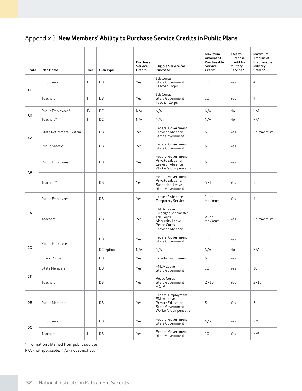| <b>State</b> | Plan Name                      | Tier          | Plan Type | Purchase<br>Service<br>Credit? | <b>Eligible Service for</b><br>Purchase                                                                       | Maximum<br>Amount of<br>Purchasable<br>Service<br>Credit? | Able to<br>Purchase<br>Credit for<br>Military<br>Service? | Maximum<br>Amount of<br>Purchasable<br>Military<br>Credit? |
|--------------|--------------------------------|---------------|-----------|--------------------------------|---------------------------------------------------------------------------------------------------------------|-----------------------------------------------------------|-----------------------------------------------------------|------------------------------------------------------------|
|              | Employees                      | Ш             | DB        | Yes                            | Job Corps<br>State Government<br><b>Teacher Corps</b>                                                         | 10                                                        | Yes                                                       | $\overline{4}$                                             |
| AL           | Teachers                       | $\mathbf{II}$ | DB        | Yes                            | Job Corps<br>State Government<br><b>Teacher Corps</b>                                                         | 10                                                        | Yes                                                       | $\overline{4}$                                             |
|              | Public Employees*              | IV            | DC        | N/A                            | N/A                                                                                                           | N/A                                                       | No                                                        | N/A                                                        |
| AK           | Teachers*                      | Ш             | DC        | N/A                            | N/A                                                                                                           | N/A                                                       | No                                                        | N/A                                                        |
| AZ           | <b>State Retirement System</b> |               | DB        | Yes                            | Federal Government<br>Leave of Absence<br><b>State Government</b>                                             | 5                                                         | Yes                                                       | No maximum                                                 |
|              | Public Safety*                 |               | DB        | Yes                            | Federal Government<br><b>State Government</b>                                                                 | 5                                                         | Yes                                                       | 3                                                          |
| AR           | <b>Public Employees</b>        |               | DB        | Yes                            | Federal Government<br>Private Education<br>Leave of Absence<br>Worker's Compensation                          | 5                                                         | Yes                                                       | 5                                                          |
|              | Teachers*                      |               | DB        | Yes                            | Federal Government<br>Private Education<br>Sabbatical Leave<br><b>State Government</b>                        | $5 - 15$                                                  | Yes                                                       | 5                                                          |
|              | <b>Public Employees</b>        |               | DB        | Yes                            | Leave of Absence<br><b>Temporary Service</b>                                                                  | $1 - no$<br>maximum                                       | Yes                                                       | 4                                                          |
| CA           | Teachers                       |               | DB        | Yes                            | <b>FMLA Leave</b><br>Fulbright Scholarship<br>Job Corps<br>Maternity Leave<br>Peace Corps<br>Leave of Absence | $2 - no$<br>maximum                                       | Yes                                                       | No maximum                                                 |
|              | <b>Public Employees</b>        |               | DB        | Yes                            | <b>Federal Government</b><br><b>State Government</b>                                                          | 10                                                        | Yes                                                       | 5                                                          |
| CO           |                                |               | DC Option | N/A                            | N/A                                                                                                           | N/A                                                       | No                                                        | N/A                                                        |
|              | Fire & Police                  |               | DB        | Yes                            | Private Employment                                                                                            | 5                                                         | Yes                                                       | 5                                                          |
|              | State Members                  |               | DB        | Yes                            | <b>FMLA Leave</b><br>State Government                                                                         | 10 <sup>°</sup>                                           | Yes                                                       | 10                                                         |
| <b>CT</b>    | Teachers                       |               | DB        | Yes                            | Peace Corps<br>State Government<br><b>VISTA</b>                                                               | $2 - 10$                                                  | Yes                                                       | $3 - 10$                                                   |
| DE           | Public Members                 |               | DB        | Yes                            | Federal Employment<br>FMLA Leave<br>Private Education<br>State Government<br>Worker's Compensation            | 5                                                         | Yes                                                       | 5                                                          |
|              | Employees                      | 3             | DB        | Yes                            | Federal Government<br>State Government                                                                        | N/S                                                       | Yes                                                       | N/S                                                        |
| DC           | Teachers                       | Ш.            | DB        | Yes                            | Federal Government<br>State Government                                                                        | 10                                                        | Yes                                                       | N/S                                                        |

\*Information obtained from public sources.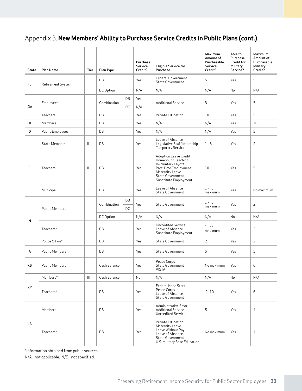| <b>State</b> | Plan Name               | Tier         | Plan Type               |          | Purchase<br>Service<br>Credit? | <b>Eligible Service for</b><br>Purchase                                                                                                                          | Maximum<br>Amount of<br>Purchasable<br>Service<br>Credit? | Able to<br>Purchase<br>Credit for<br>Military<br>Service? | Maximum<br>Amount of<br>Purchasable<br>Military<br>Credit? |
|--------------|-------------------------|--------------|-------------------------|----------|--------------------------------|------------------------------------------------------------------------------------------------------------------------------------------------------------------|-----------------------------------------------------------|-----------------------------------------------------------|------------------------------------------------------------|
| FL.          | Retirement System       |              | DB                      |          | Yes                            | Federal Government<br><b>State Government</b>                                                                                                                    | 5                                                         | Yes                                                       | 5                                                          |
|              |                         |              | DC Option               |          | N/A                            | N/A                                                                                                                                                              | N/A                                                       | No                                                        | N/A                                                        |
| GA           | Employees               |              | Combination             | DB<br>DC | Yes<br>N/A                     | <b>Additional Service</b>                                                                                                                                        | 3                                                         | Yes                                                       | 5                                                          |
|              | Teachers                |              | DB                      |          |                                | Private Education                                                                                                                                                | 10                                                        | Yes                                                       | 5                                                          |
| HL           | Members                 |              | DB                      |          | Yes                            | N/A                                                                                                                                                              | N/A                                                       | Yes                                                       | 10                                                         |
| ID           | <b>Public Employees</b> |              | DB                      |          | Yes                            | N/A                                                                                                                                                              | N/A                                                       | Yes                                                       | 5                                                          |
|              | <b>State Members</b>    | $\mathbf{H}$ | DB                      | Yes      |                                | Leave of Absence<br>Legislative Staff Internship<br>Temporary Service                                                                                            | $1 - 8$                                                   | Yes                                                       | 2                                                          |
| IL           | Teachers                | $\mathbf{H}$ | DB                      |          | Yes                            | Adoption Leave Credit<br>Homebound Teaching<br>Involuntary Layoff<br>Part-Time Employment<br>Maternity Leave<br><b>State Government</b><br>Substitute Employment | 10                                                        | Yes                                                       | 5                                                          |
|              | Municipal               | 2            | DB                      |          | Yes                            | Leave of Absence<br><b>State Government</b>                                                                                                                      | $1 - no$<br>maximum                                       | Yes                                                       | No maximum                                                 |
|              | <b>Public Members</b>   |              | DB<br>Combination<br>DC |          | Yes                            | <b>State Government</b>                                                                                                                                          | $1 - no$<br>maximum                                       | Yes                                                       | 2                                                          |
|              |                         |              | DC Option               |          | N/A                            | N/A                                                                                                                                                              | N/A                                                       | No                                                        | N/A                                                        |
| IN           | Teachers*               |              | DB                      |          |                                | Uncredited Service<br>Leave of Absence<br>Substitute Employment                                                                                                  | $1 - no$<br>maximum                                       | Yes                                                       | 2                                                          |
|              | Police & Fire*          |              | DB                      |          | Yes                            | State Government                                                                                                                                                 | $\overline{2}$                                            | Yes                                                       | $\overline{2}$                                             |
| IA           | <b>Public Members</b>   |              | DB                      |          | Yes                            | <b>State Government</b>                                                                                                                                          | 5                                                         | Yes                                                       | 5                                                          |
| KS           | <b>Public Members</b>   |              | Cash Balance            |          | Yes                            | Peace Corps<br>State Government<br>VISTA                                                                                                                         | No maximum                                                | Yes                                                       | 6                                                          |
|              | Members*                | III          | Cash Balance            |          | No                             | N/A                                                                                                                                                              | N/A                                                       | No                                                        | N/A                                                        |
| KY           | Teachers*               |              | DB                      |          |                                | Federal Head Start<br>Peace Corps<br>Leave of Absence<br>State Government                                                                                        | $2 - 10$                                                  | Yes                                                       | 6                                                          |
|              | Members                 |              | DB                      |          | Yes                            | Administrative Error<br><b>Additional Service</b><br>Uncredited Service                                                                                          | 5                                                         | Yes                                                       | $\overline{4}$                                             |
| LA           | Teachers*               |              | DB                      |          | Yes                            | Private Education<br>Maternity Leave<br>Leave Without Pay<br>Leave of Absence<br>State Government<br>U.S. Military Base Education                                | No maximum                                                | Yes                                                       | $\overline{4}$                                             |

\*Information obtained from public sources.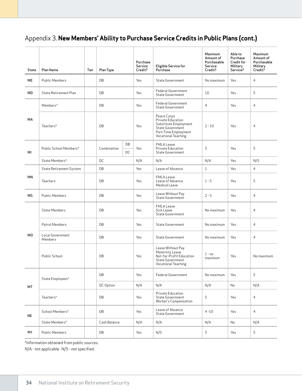| State          | Plan Name                      | Tier | Plan Type    |          | Purchase<br>Service<br>Credit? | <b>Eligible Service for</b><br>Purchase                                                                                      | Maximum<br>Amount of<br>Purchasable<br>Service<br>Credit? | Able to<br>Purchase<br><b>Credit for</b><br>Military<br>Service? | Maximum<br>Amount of<br>Purchasable<br>Military<br>Credit? |
|----------------|--------------------------------|------|--------------|----------|--------------------------------|------------------------------------------------------------------------------------------------------------------------------|-----------------------------------------------------------|------------------------------------------------------------------|------------------------------------------------------------|
| ME             | <b>Public Members</b>          |      | DB           |          | Yes                            | <b>State Government</b>                                                                                                      | No maximum                                                | Yes                                                              | 4                                                          |
| МD             | <b>State Retirement Plan</b>   |      | DB           |          | Yes                            | <b>Federal Government</b><br>State Government                                                                                | 10                                                        | Yes                                                              | 5                                                          |
|                | Members*                       |      | DB           |          | Yes                            | <b>Federal Government</b><br><b>State Government</b>                                                                         | $\overline{4}$                                            | Yes                                                              | $\overline{4}$                                             |
| МA             | Teachers*                      |      | DB           |          | Yes                            | Peace Corps<br>Private Education<br>Substitute Employment<br>State Government<br>Part-Time Employment<br>Vocational Teaching | $2 - 10$                                                  | Yes                                                              | $\overline{4}$                                             |
| ΜI             | Public School Members*         |      | Combination  | DB<br>DC | Yes                            | <b>FMLA Leave</b><br>Private Education<br><b>State Government</b>                                                            | 5                                                         | Yes                                                              | 5                                                          |
|                | State Members*                 |      | DC           |          | N/A                            | N/A                                                                                                                          | N/A                                                       | Yes                                                              | N/S                                                        |
|                | <b>State Retirement System</b> |      | DB           |          |                                | Leave of Absence                                                                                                             | $\mathbf{1}$                                              | Yes                                                              | $\overline{4}$                                             |
| MN             | Teachers                       |      | DB           |          | Yes                            | <b>FMLA Leave</b><br>Leave of Absence<br>Medical Leave                                                                       | $1 - 5$                                                   | Yes                                                              | 5                                                          |
| МS             | <b>Public Members</b>          |      | DB           |          | Yes                            | Leave Without Pay<br>State Government                                                                                        | $2 - 5$                                                   | Yes                                                              | 4                                                          |
|                | <b>State Members</b>           |      | DB           |          | Yes                            | FMLA Leave<br>Sick Leave<br>State Government                                                                                 | No maximum                                                | Yes                                                              | 4                                                          |
|                | Patrol Members                 |      | DB           |          | Yes                            | State Government                                                                                                             | No maximum                                                | Yes                                                              | 4                                                          |
| M <sub>0</sub> | Local Government<br>Members    |      | DB           |          | Yes                            | State Government                                                                                                             | No maximum                                                | Yes                                                              | 4                                                          |
|                | Public School                  |      | DB           |          | Yes                            | Leave Without Pay<br>Maternity Leave<br>Not-for-Profit Education<br>State Government<br><b>Vocational Teaching</b>           | $1 - no$<br>maximum                                       | Yes                                                              | No maximum                                                 |
|                | State Employees*               |      | DB           |          | Yes                            | <b>Federal Government</b>                                                                                                    | No maximum                                                | Yes                                                              | 5                                                          |
| MT             |                                |      | DC Option    |          | N/A                            | N/A                                                                                                                          | N/A                                                       | No                                                               | N/A                                                        |
|                | Teachers*                      |      | DB           |          |                                | Private Education<br>State Government<br>Worker's Compensation                                                               | 5                                                         | Yes                                                              | $\overline{4}$                                             |
| <b>NE</b>      | School Members*                |      | DB           |          | Yes                            | Leave of Absence<br>State Government                                                                                         | $4 - 10$                                                  | Yes                                                              | $\overline{4}$                                             |
|                | State Members*                 |      | Cash Balance |          | N/A                            | N/A                                                                                                                          | N/A                                                       | No                                                               | N/A                                                        |
| <b>NV</b>      | Public Members                 |      | DB           |          | Yes                            | N/S                                                                                                                          | 5                                                         | Yes                                                              | 5                                                          |

\*Information obtained from public sources.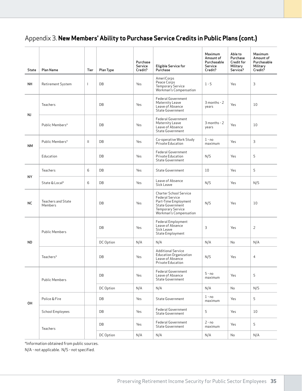| <b>State</b> | Plan Name                            | Tier          | Plan Type | Purchase<br>Service<br>Credit? | <b>Eligible Service for</b><br>Purchase                                                                                                                   | Maximum<br>Amount of<br>Purchasable<br>Service<br>Credit? | Able to<br>Purchase<br>Credit for<br>Military<br>Service? | Maximum<br>Amount of<br>Purchasable<br>Military<br>Credit? |
|--------------|--------------------------------------|---------------|-----------|--------------------------------|-----------------------------------------------------------------------------------------------------------------------------------------------------------|-----------------------------------------------------------|-----------------------------------------------------------|------------------------------------------------------------|
| <b>NH</b>    | Retirement System                    | I             | DB        | Yes                            | AmeriCorps<br>Peace Corps<br>Temporary Service<br>Workman's Compensation                                                                                  | $1 - 5$                                                   | Yes                                                       | 3                                                          |
|              | Teachers                             |               | DB        | Yes                            | Federal Government<br>Maternity Leave<br>Leave of Absence<br>State Government                                                                             | $3$ months - $2$<br>years                                 | Yes                                                       | 10                                                         |
| NJ           | Public Members*                      |               | DB        | Yes                            | Federal Government<br>Maternity Leave<br>Leave of Absence<br><b>State Government</b>                                                                      | $3$ months - $2$<br>years                                 | Yes                                                       | 10                                                         |
| <b>NM</b>    | Public Members*                      | $\mathbf{II}$ | DB        | Yes                            | Co-operative Work Study<br>Private Education                                                                                                              | $1 - no$<br>maximum                                       | Yes                                                       | 3                                                          |
|              | Education                            |               | DB        | Yes                            | <b>Federal Government</b><br>Private Education<br><b>State Government</b>                                                                                 | N/S                                                       | Yes                                                       | 5                                                          |
| NY           | Teachers                             | 6             | DB        | Yes                            | State Government                                                                                                                                          | 10                                                        | Yes                                                       | 5                                                          |
|              | State & Local*                       | 6             | DB        | Yes                            | Leave of Absence<br>Sick Leave                                                                                                                            | N/S                                                       | Yes                                                       | N/S                                                        |
| <b>NC</b>    | <b>Teachers and State</b><br>Members |               | DB        | Yes                            | <b>Charter School Service</b><br><b>Federal Service</b><br>Part-Time Employment<br>State Government<br><b>Temporary Service</b><br>Workman's Compensation | N/S                                                       | Yes                                                       | 10                                                         |
|              | <b>Public Members</b>                |               | DB        | Yes                            | Federal Employment<br>Leave of Absence<br>Sick Leave<br>State Employment                                                                                  | 3                                                         | Yes                                                       | 2                                                          |
| ND.          |                                      |               | DC Option | N/A                            | N/A                                                                                                                                                       | N/A                                                       | No                                                        | N/A                                                        |
|              | Teachers*                            |               | DB        | Yes                            | <b>Additional Service</b><br><b>Education Organization</b><br>Leave of Absence<br>Private Education                                                       | N/S                                                       | Yes                                                       | $\overline{4}$                                             |
|              | <b>Public Members</b>                |               | DB        | Yes                            | Federal Government<br>Leave of Absence<br>State Government                                                                                                | $5 - no$<br>maximum                                       | Yes                                                       | 5                                                          |
|              |                                      |               | DC Option | N/A                            | N/A                                                                                                                                                       | N/A                                                       | No                                                        | N/S                                                        |
| OH           | Police & Fire                        |               | DB        | Yes                            | State Government                                                                                                                                          | $1 - no$<br>maximum                                       | Yes                                                       | 5                                                          |
|              | School Employees                     |               | DB        | Yes                            | <b>Federal Government</b><br><b>State Government</b>                                                                                                      | 5                                                         | Yes                                                       | 10                                                         |
|              | Teachers                             |               | DB        | Yes                            | Federal Government<br>State Government                                                                                                                    | $2 - no$<br>maximum                                       | Yes                                                       | 5                                                          |
|              |                                      |               | DC Option | N/A                            | N/A                                                                                                                                                       | N/A                                                       | No                                                        | N/A                                                        |

\*Information obtained from public sources.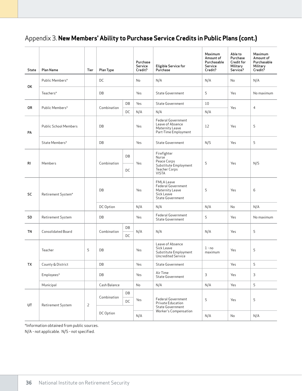| State     | Plan Name                          | Tier           | Plan Type                            |     | Purchase<br>Service<br>Credit?                                                           | <b>Eligible Service for</b><br>Purchase                                                      | Maximum<br>Amount of<br>Purchasable<br>Service<br>Credit? | Able to<br>Purchase<br>Credit for<br>Military<br>Service? | Maximum<br>Amount of<br>Purchasable<br>Military<br>Credit? |
|-----------|------------------------------------|----------------|--------------------------------------|-----|------------------------------------------------------------------------------------------|----------------------------------------------------------------------------------------------|-----------------------------------------------------------|-----------------------------------------------------------|------------------------------------------------------------|
|           | Public Members*                    |                | DC                                   |     | No                                                                                       | N/A                                                                                          | N/A                                                       | No                                                        | N/A                                                        |
| OK        | Teachers*                          |                | DB                                   |     | Yes                                                                                      | <b>State Government</b>                                                                      | 5                                                         | Yes                                                       | No maximum                                                 |
| 0R        | Public Members*                    |                | Combination                          | DB  | Yes                                                                                      | State Government                                                                             | 10                                                        | Yes                                                       | $\overline{4}$                                             |
|           |                                    |                |                                      | DC  | N/A                                                                                      | N/A                                                                                          | N/A                                                       |                                                           |                                                            |
| PA        | DB<br><b>Public School Members</b> |                |                                      | Yes | <b>Federal Government</b><br>Leave of Absence<br>Maternity Leave<br>Part-Time Employment | 12                                                                                           | Yes                                                       | 5                                                         |                                                            |
|           | State Members*                     |                | DB                                   |     | Yes                                                                                      | State Government                                                                             | N/S                                                       | Yes                                                       | 5                                                          |
| <b>RI</b> | Members                            |                | DB<br>Combination                    |     | Yes                                                                                      | Firefighter<br>Nurse<br>Peace Corps                                                          | 5                                                         | Yes                                                       | N/S                                                        |
|           |                                    |                |                                      | DC  |                                                                                          | Substitute Employment<br>Teacher Corps<br><b>VISTA</b>                                       |                                                           |                                                           |                                                            |
| <b>SC</b> | Retirement System*                 |                | DB                                   |     | Yes                                                                                      | <b>FMLA Leave</b><br>Federal Government<br>Maternity Leave<br>Sick Leave<br>State Government | 5                                                         | Yes                                                       | 6                                                          |
|           |                                    |                | DC Option                            |     | N/A                                                                                      | N/A                                                                                          | N/A                                                       | No                                                        | N/A                                                        |
| SD        | Retirement System                  |                | DB                                   |     | Yes                                                                                      | <b>Federal Government</b><br><b>State Government</b>                                         | 5                                                         | Yes                                                       | No maximum                                                 |
|           |                                    |                |                                      | DB  |                                                                                          |                                                                                              |                                                           |                                                           |                                                            |
| TN        | <b>Consolidated Board</b>          |                | Combination                          | DC  | N/A                                                                                      | N/A                                                                                          | N/A                                                       | Yes                                                       | 5                                                          |
|           | 5<br>Teacher<br>DB                 |                |                                      | Yes | Leave of Absence<br>Sick Leave<br>Substitute Employment<br>Uncredited Service            | $1 - no$<br>maximum                                                                          | Yes                                                       | 5                                                         |                                                            |
| TX        | County & District                  |                | DB                                   |     | Yes                                                                                      | <b>State Government</b>                                                                      |                                                           | Yes                                                       | 5                                                          |
|           | Employees*                         |                | DB                                   |     | Yes                                                                                      | Air Time<br>State Government                                                                 | 3                                                         | Yes                                                       | 3                                                          |
|           | Municipal                          |                | Cash Balance                         |     | No                                                                                       | N/A                                                                                          | N/A                                                       | Yes                                                       | 5                                                          |
| UT        | Retirement System                  | $\overline{2}$ | DB<br>Combination<br>DC<br>DC Option |     | Yes                                                                                      | Federal Government<br>Private Education<br>State Government                                  | 5                                                         | Yes                                                       | 5                                                          |
|           |                                    |                |                                      |     | N/A                                                                                      | Worker's Compensation                                                                        | N/A                                                       | No                                                        | N/A                                                        |

\*Information obtained from public sources.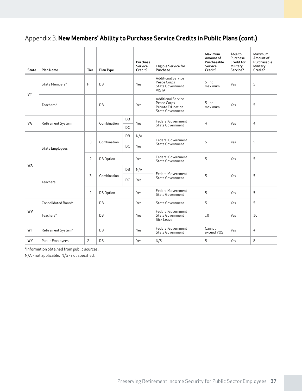| <b>State</b> | Plan Name               | Tier           | Plan Type   |           | Purchase<br>Service<br>Credit? | <b>Eligible Service for</b><br>Purchase                                           | Maximum<br>Amount of<br>Purchasable<br>Service<br>Credit? | Able to<br>Purchase<br>Credit for<br>Military<br>Service? | Maximum<br>Amount of<br>Purchasable<br>Military<br>Credit? |
|--------------|-------------------------|----------------|-------------|-----------|--------------------------------|-----------------------------------------------------------------------------------|-----------------------------------------------------------|-----------------------------------------------------------|------------------------------------------------------------|
|              | State Members*          | F              | DB          |           |                                | <b>Additional Service</b><br>Peace Corps<br>State Government<br><b>VISTA</b>      | $5 - no$<br>maximum                                       | Yes                                                       | 5                                                          |
| VT           | Teachers*               |                | <b>DB</b>   |           |                                | <b>Additional Service</b><br>Peace Corps<br>Private Education<br>State Government | $5 - no$<br>maximum                                       | Yes                                                       | 5                                                          |
| VA           | Retirement System       |                | Combination | DB        | Yes                            | <b>Federal Government</b>                                                         | $\overline{4}$                                            | Yes                                                       | $\overline{4}$                                             |
|              |                         |                |             | <b>DC</b> |                                | State Government                                                                  |                                                           |                                                           |                                                            |
|              | <b>State Employees</b>  | 3              | Combination | DB        | N/A                            | <b>Federal Government</b>                                                         |                                                           |                                                           |                                                            |
|              |                         |                |             | <b>DC</b> | Yes                            | State Government                                                                  | 5                                                         | Yes                                                       | 5                                                          |
|              |                         | 2              | DB Option   |           | Yes                            | Federal Government<br><b>State Government</b>                                     | 5                                                         | Yes                                                       | 5                                                          |
| <b>WA</b>    |                         | 3              | Combination | DB        | N/A                            |                                                                                   |                                                           | Yes                                                       |                                                            |
|              | Teachers                |                |             | DC        | Yes                            | <b>Federal Government</b><br>State Government                                     | 5                                                         |                                                           | 5                                                          |
|              |                         | $\overline{2}$ | DB Option   |           | Yes                            | <b>Federal Government</b><br>State Government                                     | 5                                                         | Yes                                                       | 5                                                          |
|              | Consolidated Board*     |                | <b>DB</b>   |           | Yes                            | State Government                                                                  | 5                                                         | Yes                                                       | 5                                                          |
| <b>WV</b>    | Teachers*               |                | DB          |           |                                | <b>Federal Government</b><br>State Government<br>Sick Leave                       | 10                                                        | Yes                                                       | 10                                                         |
| WI           | Retirement System*      |                | DB          |           | Yes                            | <b>Federal Government</b><br>State Government                                     | Cannot<br>exceed YOS                                      | Yes                                                       | $\overline{4}$                                             |
| WY           | <b>Public Employees</b> | $\overline{2}$ | DB          |           | Yes                            | N/S                                                                               | 5                                                         | Yes                                                       | 8                                                          |

\*Information obtained from public sources.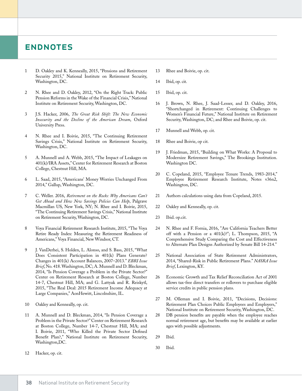### **ENDNOTES**

- 1 D. Oakley and K. Kenneally, 2015, "Pensions and Retirement Security 2015," National Institute on Retirement Security, Washington, DC.
- 2 N. Rhee and D. Oakley, 2012, "On the Right Track: Public Pension Reforms in the Wake of the Financial Crisis," National Institute on Retirement Security, Washington, DC.
- 3 J.S. Hacker, 2006, *The Great Risk Shift: The New Economic Insecurity and the Decline of the American Dream*, Oxford University Press.
- 4 N. Rhee and I. Boivie, 2015, "The Continuing Retirement Savings Crisis," National Institute on Retirement Security, Washington, DC.
- 5 A. Munnell and A. Webb, 2015, "The Impact of Leakages on 401(k)/IRA Assets," Center for Retirement Research at Boston College, Chestnut Hill, MA.
- 6 L. Saad, 2015, "Americans' Money Worries Unchanged From 2014," Gallup, Washington, DC.
- 7 C. Weller. 2016, *Retirement on the Rocks: Why Americans Can't Get Ahead and How New Savings Policies Can Help*, Palgrave Macmillan US, New York, NY; N. Rhee and I. Boivie, 2015, "The Continuing Retirement Savings Crisis," National Institute on Retirement Security, Washington, DC.
- 8 Voya Financial Retirement Research Institute, 2015, "The Voya Retire Ready Index: Measuring the Retirement Readiness of Americans," Voya Financial, New Windsor, CT.
- 9 J. VanDerhei, S. Holden, L. Alonso, and S. Bass, 2015, "What Does Consistent Participation in 401(k) Plans Generate? Changes in 401(k) Account Balances, 2007–2013." *EBRI Issue Brief*, No. 418. Washington, DC; A. Munnell and D. Bleckman, 2014, "Is Pension Coverage a Problem in the Private Sector?" Center on Retirement Research at Boston College, Number 14-7, Chestnut Hill, MA; and G. Lattyak and R. Reiskytl, 2015, "The Real Deal: 2015 Retirement Income Adequacy at Large Companies," AonHewitt, Lincolnshire, IL.
- 10 Oakley and Kenneally, op. cit.
- 11 A. Munnell and D. Bleckman, 2014, "Is Pension Coverage a Problem in the Private Sector?" Center on Retirement Research at Boston College, Number 14-7, Chestnut Hill, MA; and I. Boivie, 2011, "Who Killed the Private Sector Defined Benefit Plan?," National Institute on Retirement Security, Washington,DC.
- 12 Hacker, op. cit.
- 13 Rhee and Boivie, op. cit.
- 14 Ibid, op. cit.
- 15 Ibid, op. cit.
- 16 J. Brown, N. Rhee, J. Saad-Lesser, and D. Oakley, 2016, "Shortchanged in Retirement: Continuing Challenges to Women's Financial Future," National Institute on Retirement Security, Washington, DC; and Rhee and Boivie, op. cit.
- 17 Munnell and Webb, op. cit.
- 18 Rhee and Boivie, op cit.
- 19 J. Friedman, 2015, "Building on What Works: A Proposal to Modernize Retirement Savings," The Brookings Institution. Washington DC.
- 20 C. Copeland, 2015, "Employee Tenure Trends, 1983-2014," Employee Retirement Research Institute, Notes v36n2, Washington, DC.
- 21 Authors calculations using data from Copeland, 2015.
- 22 Oakley and Kenneally, op. cit.
- 23 Ibid. op.cit.
- 24 N. Rhee and F. Fornia, 2016, "Are California Teachers Better off with a Pension or a 401(k)?"; L. Thompson, 2015, "A Comprehensive Study Comparing the Cost and Effectiveness to Alternate Plan Designs Authorized by Senate Bill 14-214."
- 25 National Association of State Retirement Administrators, 2014, "Shared-Risk in Public Retirement Plans." *NASRA Issue Brief*, Lexington, KY.
- 26 Economic Growth and Tax Relief Reconciliation Act of 2001 allows tax-free direct transfers or rollovers to purchase eligible service credits in public pension plans.
- 27 M. Olleman and I. Boivie, 2011, "Decisions, Decisions: Retirement Plan Choices Public Employees and Employers," National Institute on Retirement Security, Washington, DC.
- 28 DB pension benefits are payable when the employee reaches normal retirement age, but benefits may be available at earlier ages with possible adjustments.
- 29 Ibid.
- 30 Ibid.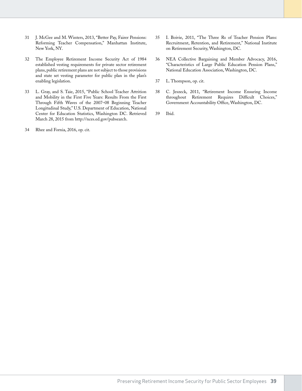- 31 J. McGee and M. Winters, 2013, "Better Pay, Fairer Pensions: Reforming Teacher Compensation," Manhattan Institute, New York, NY.
- 32 The Employee Retirement Income Security Act of 1984 established vesting requirements for private sector retirement plans, public retirement plans are not subject to those provisions and state set vesting parameter for public plan in the plan's enabling legislation.
- 33 L. Gray, and S. Taie, 2015, "Public School Teacher Attrition and Mobility in the First Five Years: Results From the First Through Fifth Waves of the 2007–08 Beginning Teacher Longitudinal Study," U.S. Department of Education, National Center for Education Statistics, Washington DC. Retrieved March 28, 2015 from http://nces.ed.gov/pubsearch.
- 34 Rhee and Fornia, 2016, op. cit.
- 35 I. Boivie, 2011, "The Three Rs of Teacher Pension Plans: Recruitment, Retention, and Retirement," National Institute on Retirement Security, Washington, DC.
- 36 NEA Collective Bargaining and Member Advocacy, 2016, "Characteristics of Large Public Education Pension Plans," National Education Association, Washington, DC.
- 37 L. Thompson, op. cit.
- 38 C. Jeszeck, 2011, "Retirement Income Ensuring Income throughout Retirement Requires Difficult Choices," Government Accountability Office, Washington, DC.
- 39 Ibid.